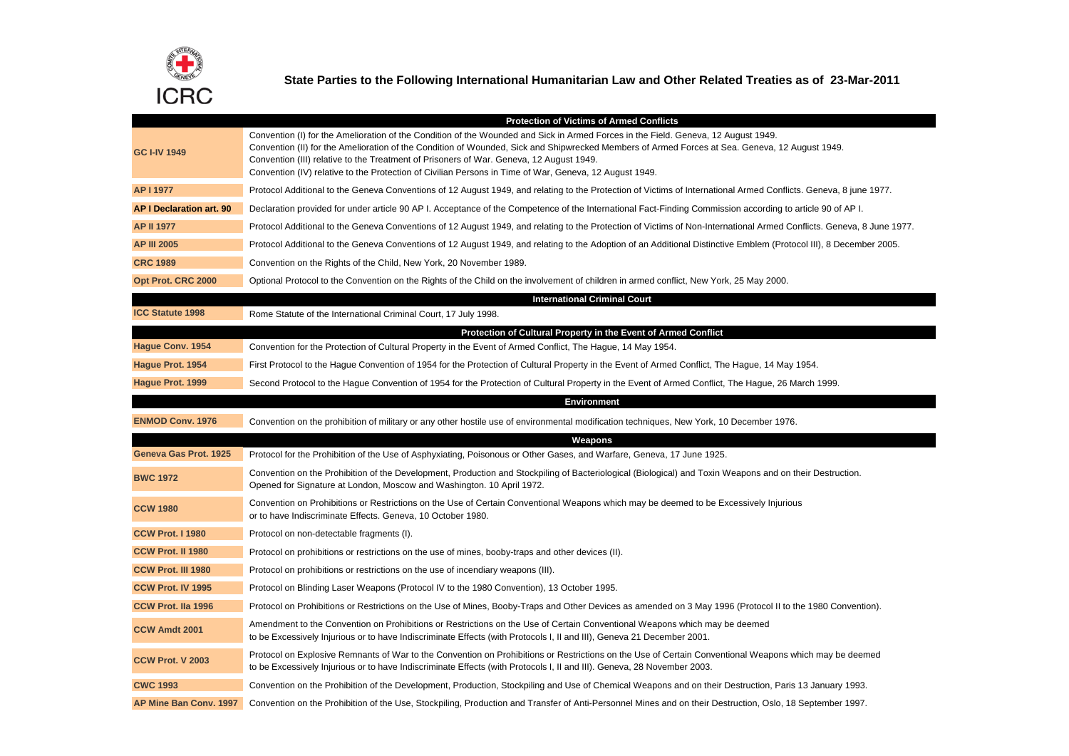

**State Parties to the Following International Humanitarian Law and Other Related Treaties as of 23-Mar-2011**

|                                 | <b>Protection of Victims of Armed Conflicts</b>                                                                                                                                                                                                                                                                                                                                                                                                                                           |
|---------------------------------|-------------------------------------------------------------------------------------------------------------------------------------------------------------------------------------------------------------------------------------------------------------------------------------------------------------------------------------------------------------------------------------------------------------------------------------------------------------------------------------------|
| <b>GC I-IV 1949</b>             | Convention (I) for the Amelioration of the Condition of the Wounded and Sick in Armed Forces in the Field. Geneva, 12 August 1949.<br>Convention (II) for the Amelioration of the Condition of Wounded, Sick and Shipwrecked Members of Armed Forces at Sea. Geneva, 12 August 1949.<br>Convention (III) relative to the Treatment of Prisoners of War. Geneva, 12 August 1949.<br>Convention (IV) relative to the Protection of Civilian Persons in Time of War, Geneva, 12 August 1949. |
| AP I 1977                       | Protocol Additional to the Geneva Conventions of 12 August 1949, and relating to the Protection of Victims of International Armed Conflicts. Geneva, 8 june 1977.                                                                                                                                                                                                                                                                                                                         |
| <b>AP I Declaration art. 90</b> | Declaration provided for under article 90 AP I. Acceptance of the Competence of the International Fact-Finding Commission according to article 90 of AP I.                                                                                                                                                                                                                                                                                                                                |
| <b>AP II 1977</b>               | Protocol Additional to the Geneva Conventions of 12 August 1949, and relating to the Protection of Victims of Non-International Armed Conflicts. Geneva, 8 June 1977.                                                                                                                                                                                                                                                                                                                     |
| <b>AP III 2005</b>              | Protocol Additional to the Geneva Conventions of 12 August 1949, and relating to the Adoption of an Additional Distinctive Emblem (Protocol III), 8 December 2005.                                                                                                                                                                                                                                                                                                                        |
| <b>CRC 1989</b>                 | Convention on the Rights of the Child, New York, 20 November 1989.                                                                                                                                                                                                                                                                                                                                                                                                                        |
| Opt Prot. CRC 2000              | Optional Protocol to the Convention on the Rights of the Child on the involvement of children in armed conflict, New York, 25 May 2000.                                                                                                                                                                                                                                                                                                                                                   |
|                                 | <b>International Criminal Court</b>                                                                                                                                                                                                                                                                                                                                                                                                                                                       |
| <b>ICC Statute 1998</b>         | Rome Statute of the International Criminal Court, 17 July 1998.                                                                                                                                                                                                                                                                                                                                                                                                                           |
|                                 | Protection of Cultural Property in the Event of Armed Conflict                                                                                                                                                                                                                                                                                                                                                                                                                            |
| Hague Conv. 1954                | Convention for the Protection of Cultural Property in the Event of Armed Conflict, The Hague, 14 May 1954.                                                                                                                                                                                                                                                                                                                                                                                |
| Hague Prot. 1954                | First Protocol to the Hague Convention of 1954 for the Protection of Cultural Property in the Event of Armed Conflict, The Hague, 14 May 1954.                                                                                                                                                                                                                                                                                                                                            |
| Hague Prot. 1999                | Second Protocol to the Hague Convention of 1954 for the Protection of Cultural Property in the Event of Armed Conflict, The Hague, 26 March 1999.                                                                                                                                                                                                                                                                                                                                         |
|                                 | <b>Environment</b>                                                                                                                                                                                                                                                                                                                                                                                                                                                                        |
| <b>ENMOD Conv. 1976</b>         | Convention on the prohibition of military or any other hostile use of environmental modification techniques, New York, 10 December 1976.                                                                                                                                                                                                                                                                                                                                                  |
|                                 | Weapons                                                                                                                                                                                                                                                                                                                                                                                                                                                                                   |
| Geneva Gas Prot. 1925           | Protocol for the Prohibition of the Use of Asphyxiating, Poisonous or Other Gases, and Warfare, Geneva, 17 June 1925.                                                                                                                                                                                                                                                                                                                                                                     |
| <b>BWC 1972</b>                 | Convention on the Prohibition of the Development, Production and Stockpiling of Bacteriological (Biological) and Toxin Weapons and on their Destruction.<br>Opened for Signature at London, Moscow and Washington. 10 April 1972.                                                                                                                                                                                                                                                         |
| <b>CCW 1980</b>                 | Convention on Prohibitions or Restrictions on the Use of Certain Conventional Weapons which may be deemed to be Excessively Injurious<br>or to have Indiscriminate Effects. Geneva, 10 October 1980.                                                                                                                                                                                                                                                                                      |
| <b>CCW Prot. I 1980</b>         | Protocol on non-detectable fragments (I).                                                                                                                                                                                                                                                                                                                                                                                                                                                 |
| CCW Prot. II 1980               | Protocol on prohibitions or restrictions on the use of mines, booby-traps and other devices (II).                                                                                                                                                                                                                                                                                                                                                                                         |
| CCW Prot. III 1980              | Protocol on prohibitions or restrictions on the use of incendiary weapons (III).                                                                                                                                                                                                                                                                                                                                                                                                          |
| CCW Prot. IV 1995               | Protocol on Blinding Laser Weapons (Protocol IV to the 1980 Convention), 13 October 1995.                                                                                                                                                                                                                                                                                                                                                                                                 |
| <b>CCW Prot. Ila 1996</b>       | Protocol on Prohibitions or Restrictions on the Use of Mines, Booby-Traps and Other Devices as amended on 3 May 1996 (Protocol II to the 1980 Convention).                                                                                                                                                                                                                                                                                                                                |
| CCW Amdt 2001                   | Amendment to the Convention on Prohibitions or Restrictions on the Use of Certain Conventional Weapons which may be deemed<br>to be Excessively Injurious or to have Indiscriminate Effects (with Protocols I, II and III), Geneva 21 December 2001.                                                                                                                                                                                                                                      |
| <b>CCW Prot. V 2003</b>         | Protocol on Explosive Remnants of War to the Convention on Prohibitions or Restrictions on the Use of Certain Conventional Weapons which may be deemed<br>to be Excessively Injurious or to have Indiscriminate Effects (with Protocols I, II and III). Geneva, 28 November 2003.                                                                                                                                                                                                         |
| <b>CWC 1993</b>                 | Convention on the Prohibition of the Development, Production, Stockpiling and Use of Chemical Weapons and on their Destruction, Paris 13 January 1993.                                                                                                                                                                                                                                                                                                                                    |
| AP Mine Ban Conv. 1997          | Convention on the Prohibition of the Use, Stockpiling, Production and Transfer of Anti-Personnel Mines and on their Destruction, Oslo, 18 September 1997.                                                                                                                                                                                                                                                                                                                                 |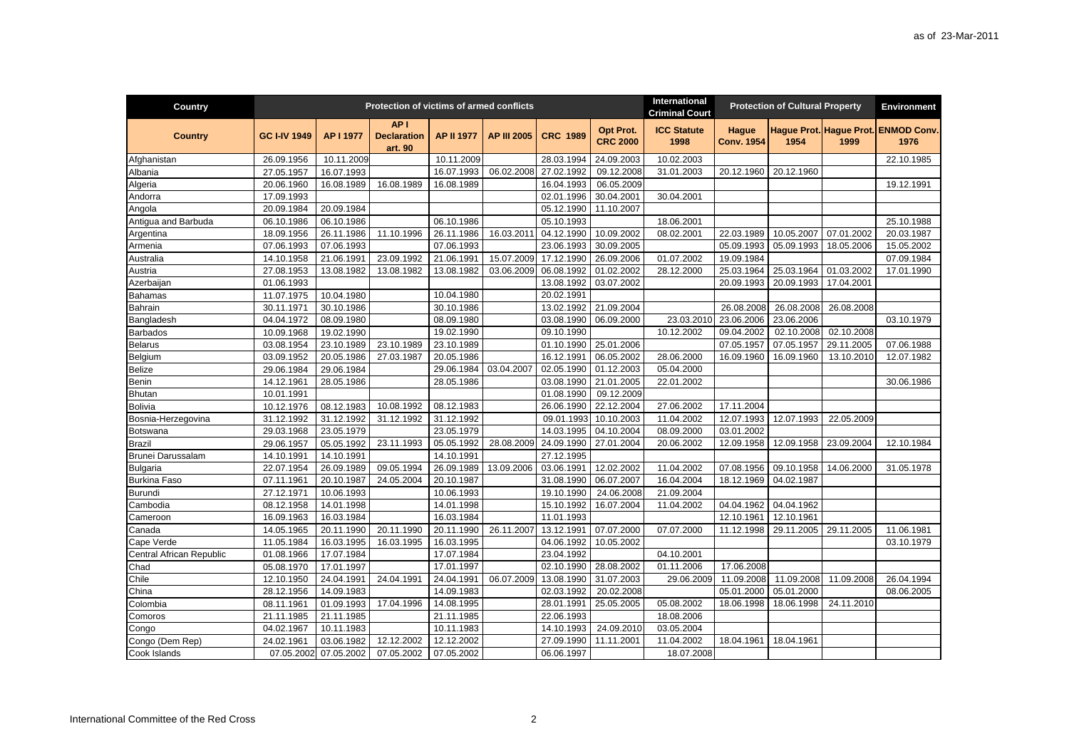| Country                  |                     |                       | Protection of victims of armed conflicts         |                   |                    |                 |                              | International<br><b>Criminal Court</b> |                            | <b>Protection of Cultural Property</b> |            | <b>Environment</b>                          |
|--------------------------|---------------------|-----------------------|--------------------------------------------------|-------------------|--------------------|-----------------|------------------------------|----------------------------------------|----------------------------|----------------------------------------|------------|---------------------------------------------|
| <b>Country</b>           | <b>GC I-IV 1949</b> | AP I 1977             | AP <sub>1</sub><br><b>Declaration</b><br>art. 90 | <b>AP II 1977</b> | <b>AP III 2005</b> | <b>CRC 1989</b> | Opt Prot.<br><b>CRC 2000</b> | <b>ICC Statute</b><br>1998             | Hague<br><b>Conv. 1954</b> | 1954                                   | 1999       | Haque Prot. Haque Prot. ENMOD Conv.<br>1976 |
| Afghanistan              | 26.09.1956          | 10.11.2009            |                                                  | 10.11.2009        |                    | 28.03.1994      | 24.09.2003                   | 10.02.2003                             |                            |                                        |            | 22.10.1985                                  |
| Albania                  | 27.05.1957          | 16.07.1993            |                                                  | 16.07.1993        | 06.02.2008         | 27.02.1992      | 09.12.2008                   | 31.01.2003                             | 20.12.1960                 | 20.12.1960                             |            |                                             |
| Algeria                  | 20.06.1960          | 16.08.1989            | 16.08.1989                                       | 16.08.1989        |                    | 16.04.1993      | 06.05.2009                   |                                        |                            |                                        |            | 19.12.1991                                  |
| Andorra                  | 17.09.1993          |                       |                                                  |                   |                    | 02.01.1996      | 30.04.2001                   | 30.04.2001                             |                            |                                        |            |                                             |
| Angola                   | 20.09.1984          | 20.09.1984            |                                                  |                   |                    | 05.12.1990      | 11.10.2007                   |                                        |                            |                                        |            |                                             |
| Antigua and Barbuda      | 06.10.1986          | 06.10.1986            |                                                  | 06.10.1986        |                    | 05.10.1993      |                              | 18.06.2001                             |                            |                                        |            | 25.10.1988                                  |
| Argentina                | 18.09.1956          | 26.11.1986            | 11.10.1996                                       | 26.11.1986        | 16.03.2011         | 04.12.1990      | 10.09.2002                   | 08.02.2001                             | 22.03.1989                 | 10.05.2007                             | 07.01.2002 | 20.03.1987                                  |
| Armenia                  | 07.06.1993          | 07.06.1993            |                                                  | 07.06.1993        |                    | 23.06.1993      | 30.09.2005                   |                                        | 05.09.1993                 | 05.09.1993                             | 18.05.2006 | 15.05.2002                                  |
| Australia                | 14.10.1958          | 21.06.1991            | 23.09.1992                                       | 21.06.1991        | 15.07.2009         | 17.12.1990      | 26.09.2006                   | 01.07.2002                             | 19.09.1984                 |                                        |            | 07.09.1984                                  |
| Austria                  | 27.08.1953          | 13.08.1982            | 13.08.1982                                       | 13.08.1982        | 03.06.2009         | 06.08.1992      | 01.02.2002                   | 28.12.2000                             | 25.03.1964                 | 25.03.1964                             | 01.03.2002 | 17.01.1990                                  |
| Azerbaijan               | 01.06.1993          |                       |                                                  |                   |                    | 13.08.1992      | 03.07.2002                   |                                        | 20.09.1993                 | 20.09.1993                             | 17.04.2001 |                                             |
| <b>Bahamas</b>           | 11.07.1975          | 10.04.1980            |                                                  | 10.04.1980        |                    | 20.02.1991      |                              |                                        |                            |                                        |            |                                             |
| Bahrain                  | 30.11.1971          | 30.10.1986            |                                                  | 30.10.1986        |                    | 13.02.1992      | 21.09.2004                   |                                        | 26.08.2008                 | 26.08.2008                             | 26.08.2008 |                                             |
| Bangladesh               | 04.04.1972          | 08.09.1980            |                                                  | 08.09.1980        |                    | 03.08.1990      | 06.09.2000                   | 23.03.2010                             | 23.06.2006                 | 23.06.2006                             |            | 03.10.1979                                  |
| <b>Barbados</b>          | 10.09.1968          | 19.02.1990            |                                                  | 19.02.1990        |                    | 09.10.1990      |                              | 10.12.2002                             | 09.04.2002                 | 02.10.2008                             | 02.10.2008 |                                             |
| <b>Belarus</b>           | 03.08.1954          | 23.10.1989            | 23.10.1989                                       | 23.10.1989        |                    | 01.10.1990      | 25.01.2006                   |                                        | 07.05.1957                 | 07.05.1957                             | 29.11.2005 | 07.06.1988                                  |
| Belgium                  | 03.09.1952          | 20.05.1986            | 27.03.1987                                       | 20.05.1986        |                    | 16.12.1991      | 06.05.2002                   | 28.06.2000                             | 16.09.1960                 | 16.09.1960                             | 13.10.2010 | 12.07.1982                                  |
| <b>Belize</b>            | 29.06.1984          | 29.06.1984            |                                                  | 29.06.1984        | 03.04.2007         | 02.05.1990      | 01.12.2003                   | 05.04.2000                             |                            |                                        |            |                                             |
| Benin                    | 14.12.1961          | 28.05.1986            |                                                  | 28.05.1986        |                    | 03.08.1990      | 21.01.2005                   | 22.01.2002                             |                            |                                        |            | 30.06.1986                                  |
| <b>Bhutan</b>            | 10.01.1991          |                       |                                                  |                   |                    | 01.08.1990      | 09.12.2009                   |                                        |                            |                                        |            |                                             |
| <b>Bolivia</b>           | 10.12.1976          | 08.12.1983            | 10.08.1992                                       | 08.12.1983        |                    | 26.06.1990      | 22.12.2004                   | 27.06.2002                             | 17.11.2004                 |                                        |            |                                             |
| Bosnia-Herzegovina       | 31.12.1992          | 31.12.1992            | 31.12.1992                                       | 31.12.1992        |                    | 09.01.1993      | 10.10.2003                   | 11.04.2002                             | 12.07.1993                 | 12.07.1993                             | 22.05.2009 |                                             |
| Botswana                 | 29.03.1968          | 23.05.1979            |                                                  | 23.05.1979        |                    | 14.03.1995      | 04.10.2004                   | 08.09.2000                             | 03.01.2002                 |                                        |            |                                             |
| Brazil                   | 29.06.1957          | 05.05.1992            | 23.11.1993                                       | 05.05.1992        | 28.08.2009         | 24.09.1990      | 27.01.2004                   | 20.06.2002                             | 12.09.1958                 | 12.09.1958                             | 23.09.2004 | 12.10.1984                                  |
| Brunei Darussalam        | 14.10.1991          | 14.10.1991            |                                                  | 14.10.1991        |                    | 27.12.1995      |                              |                                        |                            |                                        |            |                                             |
| Bulgaria                 | 22.07.1954          | 26.09.1989            | 09.05.1994                                       | 26.09.1989        | 13.09.2006         | 03.06.1991      | 12.02.2002                   | 11.04.2002                             | 07.08.1956                 | 09.10.1958                             | 14.06.2000 | 31.05.1978                                  |
| <b>Burkina Faso</b>      | 07.11.1961          | 20.10.1987            | 24.05.2004                                       | 20.10.1987        |                    | 31.08.1990      | 06.07.2007                   | 16.04.2004                             | 18.12.1969                 | 04.02.1987                             |            |                                             |
| <b>Burundi</b>           | 27.12.1971          | 10.06.1993            |                                                  | 10.06.1993        |                    | 19.10.1990      | 24.06.2008                   | 21.09.2004                             |                            |                                        |            |                                             |
| Cambodia                 | 08.12.1958          | 14.01.1998            |                                                  | 14.01.1998        |                    | 15.10.1992      | 16.07.2004                   | 11.04.2002                             | 04.04.1962                 | 04.04.1962                             |            |                                             |
| Cameroon                 | 16.09.1963          | 16.03.1984            |                                                  | 16.03.1984        |                    | 11.01.1993      |                              |                                        | 12.10.1961                 | 12.10.1961                             |            |                                             |
| Canada                   | 14.05.1965          | 20.11.1990            | 20.11.1990                                       | 20.11.1990        | 26.11.2007         | 13.12.1991      | 07.07.2000                   | 07.07.2000                             | 11.12.1998                 | 29.11.2005                             | 29.11.2005 | 11.06.1981                                  |
| Cape Verde               | 11.05.1984          | 16.03.1995            | 16.03.1995                                       | 16.03.1995        |                    | 04.06.1992      | 10.05.2002                   |                                        |                            |                                        |            | 03.10.1979                                  |
| Central African Republic | 01.08.1966          | 17.07.1984            |                                                  | 17.07.1984        |                    | 23.04.1992      |                              | 04.10.2001                             |                            |                                        |            |                                             |
| Chad                     | 05.08.1970          | 17.01.1997            |                                                  | 17.01.1997        |                    | 02.10.1990      | 28.08.2002                   | 01.11.2006                             | 17.06.2008                 |                                        |            |                                             |
| Chile                    | 12.10.1950          | 24.04.1991            | 24.04.1991                                       | 24.04.1991        | 06.07.2009         | 13.08.1990      | 31.07.2003                   | 29.06.2009                             | 11.09.2008                 | 11.09.2008                             | 11.09.2008 | 26.04.1994                                  |
| China                    | 28.12.1956          | 14.09.1983            |                                                  | 14.09.1983        |                    | 02.03.1992      | 20.02.2008                   |                                        | 05.01.2000                 | 05.01.2000                             |            | 08.06.2005                                  |
| Colombia                 | 08.11.1961          | 01.09.1993            | 17.04.1996                                       | 14.08.1995        |                    | 28.01.1991      | 25.05.2005                   | 05.08.2002                             | 18.06.1998                 | 18.06.1998                             | 24.11.2010 |                                             |
| Comoros                  | 21.11.1985          | 21.11.1985            |                                                  | 21.11.1985        |                    | 22.06.1993      |                              | 18.08.2006                             |                            |                                        |            |                                             |
| Congo                    | 04.02.1967          | 10.11.1983            |                                                  | 10.11.1983        |                    | 14.10.1993      | 24.09.2010                   | 03.05.2004                             |                            |                                        |            |                                             |
| Congo (Dem Rep)          | 24.02.1961          | 03.06.1982            | 12.12.2002                                       | 12.12.2002        |                    | 27.09.1990      | 11.11.2001                   | 11.04.2002                             | 18.04.1961                 | 18.04.1961                             |            |                                             |
| Cook Islands             |                     | 07.05.2002 07.05.2002 | 07.05.2002                                       | 07.05.2002        |                    | 06.06.1997      |                              | 18.07.2008                             |                            |                                        |            |                                             |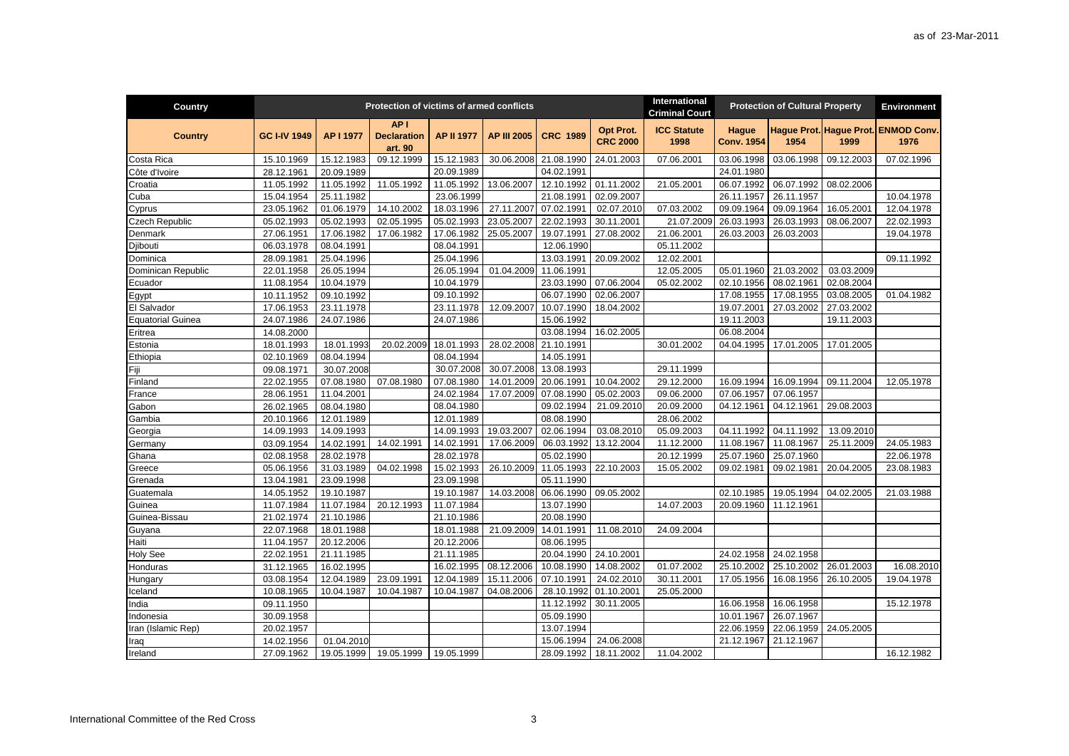| Country                  |                     |            | Protection of victims of armed conflicts         |                   |                    |                 |                              | International<br><b>Criminal Court</b> |                                   | <b>Protection of Cultural Property</b> |            | <b>Environment</b>                          |
|--------------------------|---------------------|------------|--------------------------------------------------|-------------------|--------------------|-----------------|------------------------------|----------------------------------------|-----------------------------------|----------------------------------------|------------|---------------------------------------------|
| <b>Country</b>           | <b>GC I-IV 1949</b> | AP I 1977  | AP <sub>1</sub><br><b>Declaration</b><br>art. 90 | <b>AP II 1977</b> | <b>AP III 2005</b> | <b>CRC 1989</b> | Opt Prot.<br><b>CRC 2000</b> | <b>ICC Statute</b><br>1998             | <b>Hague</b><br><b>Conv. 1954</b> | 1954                                   | 1999       | Haque Prot. Haque Prot. ENMOD Conv.<br>1976 |
| Costa Rica               | 15.10.1969          | 15.12.1983 | 09.12.1999                                       | 15.12.1983        | 30.06.2008         | 21.08.1990      | 24.01.2003                   | 07.06.2001                             | 03.06.1998                        | 03.06.1998                             | 09.12.2003 | 07.02.1996                                  |
| Côte d'Ivoire            | 28.12.1961          | 20.09.1989 |                                                  | 20.09.1989        |                    | 04.02.1991      |                              |                                        | 24.01.1980                        |                                        |            |                                             |
| Croatia                  | 11.05.1992          | 11.05.1992 | 11.05.1992                                       | 11.05.1992        | 13.06.2007         | 12.10.1992      | 01.11.2002                   | 21.05.2001                             | 06.07.1992                        | 06.07.1992                             | 08.02.2006 |                                             |
| Cuba                     | 15.04.1954          | 25.11.1982 |                                                  | 23.06.1999        |                    | 21.08.1991      | 02.09.2007                   |                                        | 26.11.1957                        | 26.11.1957                             |            | 10.04.1978                                  |
| Cyprus                   | 23.05.1962          | 01.06.1979 | 14.10.2002                                       | 18.03.1996        | 27.11.2007         | 07.02.1991      | 02.07.2010                   | 07.03.2002                             | 09.09.1964                        | 09.09.1964                             | 16.05.2001 | 12.04.1978                                  |
| Czech Republic           | 05.02.1993          | 05.02.1993 | 02.05.1995                                       | 05.02.1993        | 23.05.2007         | 22.02.1993      | 30.11.2001                   | 21.07.2009                             | 26.03.1993                        | 26.03.1993                             | 08.06.2007 | 22.02.1993                                  |
| Denmark                  | 27.06.1951          | 17.06.1982 | 17.06.1982                                       | 17.06.1982        | 25.05.2007         | 19.07.1991      | 27.08.2002                   | 21.06.2001                             | 26.03.2003                        | 26.03.2003                             |            | 19.04.1978                                  |
| Djibouti                 | 06.03.1978          | 08.04.1991 |                                                  | 08.04.1991        |                    | 12.06.1990      |                              | 05.11.2002                             |                                   |                                        |            |                                             |
| Dominica                 | 28.09.1981          | 25.04.1996 |                                                  | 25.04.1996        |                    | 13.03.1991      | 20.09.2002                   | 12.02.2001                             |                                   |                                        |            | 09.11.1992                                  |
| Dominican Republic       | 22.01.1958          | 26.05.1994 |                                                  | 26.05.1994        | 01.04.2009         | 11.06.1991      |                              | 12.05.2005                             | 05.01.1960                        | 21.03.2002                             | 03.03.2009 |                                             |
| Ecuador                  | 11.08.1954          | 10.04.1979 |                                                  | 10.04.1979        |                    | 23.03.1990      | 07.06.2004                   | 05.02.2002                             | 02.10.1956                        | 08.02.1961                             | 02.08.2004 |                                             |
| Egypt                    | 10.11.1952          | 09.10.1992 |                                                  | 09.10.1992        |                    | 06.07.1990      | 02.06.2007                   |                                        | 17.08.1955                        | 17.08.1955                             | 03.08.2005 | 01.04.1982                                  |
| El Salvador              | 17.06.1953          | 23.11.1978 |                                                  | 23.11.1978        | 12.09.2007         | 10.07.1990      | 18.04.2002                   |                                        | 19.07.2001                        | 27.03.2002                             | 27.03.2002 |                                             |
| <b>Equatorial Guinea</b> | 24.07.1986          | 24.07.1986 |                                                  | 24.07.1986        |                    | 15.06.1992      |                              |                                        | 19.11.2003                        |                                        | 19.11.2003 |                                             |
| Eritrea                  | 14.08.2000          |            |                                                  |                   |                    | 03.08.1994      | 16.02.2005                   |                                        | 06.08.2004                        |                                        |            |                                             |
| Estonia                  | 18.01.1993          | 18.01.1993 | 20.02.2009                                       | 18.01.1993        | 28.02.2008         | 21.10.1991      |                              | 30.01.2002                             | 04.04.1995                        | 17.01.2005                             | 17.01.2005 |                                             |
| Ethiopia                 | 02.10.1969          | 08.04.1994 |                                                  | 08.04.1994        |                    | 14.05.1991      |                              |                                        |                                   |                                        |            |                                             |
| Fiji                     | 09.08.1971          | 30.07.2008 |                                                  | 30.07.2008        | 30.07.2008         | 13.08.1993      |                              | 29.11.1999                             |                                   |                                        |            |                                             |
| Finland                  | 22.02.1955          | 07.08.1980 | 07.08.1980                                       | 07.08.1980        | 14.01.2009         | 20.06.1991      | 10.04.2002                   | 29.12.2000                             | 16.09.1994                        | 16.09.1994                             | 09.11.2004 | 12.05.1978                                  |
| France                   | 28.06.1951          | 11.04.2001 |                                                  | 24.02.1984        | 17.07.2009         | 07.08.1990      | 05.02.2003                   | 09.06.2000                             | 07.06.1957                        | 07.06.1957                             |            |                                             |
| Gabon                    | 26.02.1965          | 08.04.1980 |                                                  | 08.04.1980        |                    | 09.02.1994      | 21.09.2010                   | 20.09.2000                             | 04.12.1961                        | 04.12.1961                             | 29.08.2003 |                                             |
| Gambia                   | 20.10.1966          | 12.01.1989 |                                                  | 12.01.1989        |                    | 08.08.1990      |                              | 28.06.2002                             |                                   |                                        |            |                                             |
| Georgia                  | 14.09.1993          | 14.09.1993 |                                                  | 14.09.1993        | 19.03.2007         | 02.06.1994      | 03.08.2010                   | 05.09.2003                             | 04.11.1992                        | 04.11.1992                             | 13.09.2010 |                                             |
| Germany                  | 03.09.1954          | 14.02.1991 | 14.02.1991                                       | 14.02.1991        | 17.06.2009         | 06.03.1992      | 13.12.2004                   | 11.12.2000                             | 11.08.1967                        | 11.08.1967                             | 25.11.2009 | 24.05.1983                                  |
| Ghana                    | 02.08.1958          | 28.02.1978 |                                                  | 28.02.1978        |                    | 05.02.1990      |                              | 20.12.1999                             | 25.07.1960                        | 25.07.1960                             |            | 22.06.1978                                  |
| Greece                   | 05.06.1956          | 31.03.1989 | 04.02.1998                                       | 15.02.1993        | 26.10.2009         | 11.05.1993      | 22.10.2003                   | 15.05.2002                             | 09.02.1981                        | 09.02.1981                             | 20.04.2005 | 23.08.1983                                  |
| Grenada                  | 13.04.1981          | 23.09.1998 |                                                  | 23.09.1998        |                    | 05.11.1990      |                              |                                        |                                   |                                        |            |                                             |
| Guatemala                | 14.05.1952          | 19.10.1987 |                                                  | 19.10.1987        | 14.03.2008         | 06.06.1990      | 09.05.2002                   |                                        | 02.10.1985                        | 19.05.1994                             | 04.02.2005 | 21.03.1988                                  |
| Guinea                   | 11.07.1984          | 11.07.1984 | 20.12.1993                                       | 11.07.1984        |                    | 13.07.1990      |                              | 14.07.2003                             | 20.09.1960                        | 11.12.1961                             |            |                                             |
| Guinea-Bissau            | 21.02.1974          | 21.10.1986 |                                                  | 21.10.1986        |                    | 20.08.1990      |                              |                                        |                                   |                                        |            |                                             |
| Guyana                   | 22.07.1968          | 18.01.1988 |                                                  | 18.01.1988        | 21.09.2009         | 14.01.1991      | 11.08.2010                   | 24.09.2004                             |                                   |                                        |            |                                             |
| Haiti                    | 11.04.1957          | 20.12.2006 |                                                  | 20.12.2006        |                    | 08.06.1995      |                              |                                        |                                   |                                        |            |                                             |
| <b>Holy See</b>          | 22.02.1951          | 21.11.1985 |                                                  | 21.11.1985        |                    | 20.04.1990      | 24.10.2001                   |                                        | 24.02.1958                        | 24.02.1958                             |            |                                             |
| Honduras                 | 31.12.1965          | 16.02.1995 |                                                  | 16.02.1995        | 08.12.2006         | 10.08.1990      | 14.08.2002                   | 01.07.2002                             | 25.10.2002                        | 25.10.2002                             | 26.01.2003 | 16.08.2010                                  |
| Hungary                  | 03.08.1954          | 12.04.1989 | 23.09.1991                                       | 12.04.1989        | 15.11.2006         | 07.10.1991      | 24.02.2010                   | 30.11.2001                             | 17.05.1956                        | 16.08.1956                             | 26.10.2005 | 19.04.1978                                  |
| Iceland                  | 10.08.1965          | 10.04.1987 | 10.04.1987                                       | 10.04.1987        | 04.08.2006         | 28.10.1992      | 01.10.2001                   | 25.05.2000                             |                                   |                                        |            |                                             |
| India                    | 09.11.1950          |            |                                                  |                   |                    | 11.12.1992      | 30.11.2005                   |                                        | 16.06.1958                        | 16.06.1958                             |            | 15.12.1978                                  |
| Indonesia                | 30.09.1958          |            |                                                  |                   |                    | 05.09.1990      |                              |                                        | 10.01.1967                        | 26.07.1967                             |            |                                             |
| Iran (Islamic Rep)       | 20.02.1957          |            |                                                  |                   |                    | 13.07.1994      |                              |                                        | 22.06.1959                        | 22.06.1959                             | 24.05.2005 |                                             |
| Iraq                     | 14.02.1956          | 01.04.2010 |                                                  |                   |                    | 15.06.1994      | 24.06.2008                   |                                        | 21.12.1967                        | 21.12.1967                             |            |                                             |
| Ireland                  | 27.09.1962          | 19.05.1999 | 19.05.1999                                       | 19.05.1999        |                    | 28.09.1992      | 18.11.2002                   | 11.04.2002                             |                                   |                                        |            | 16.12.1982                                  |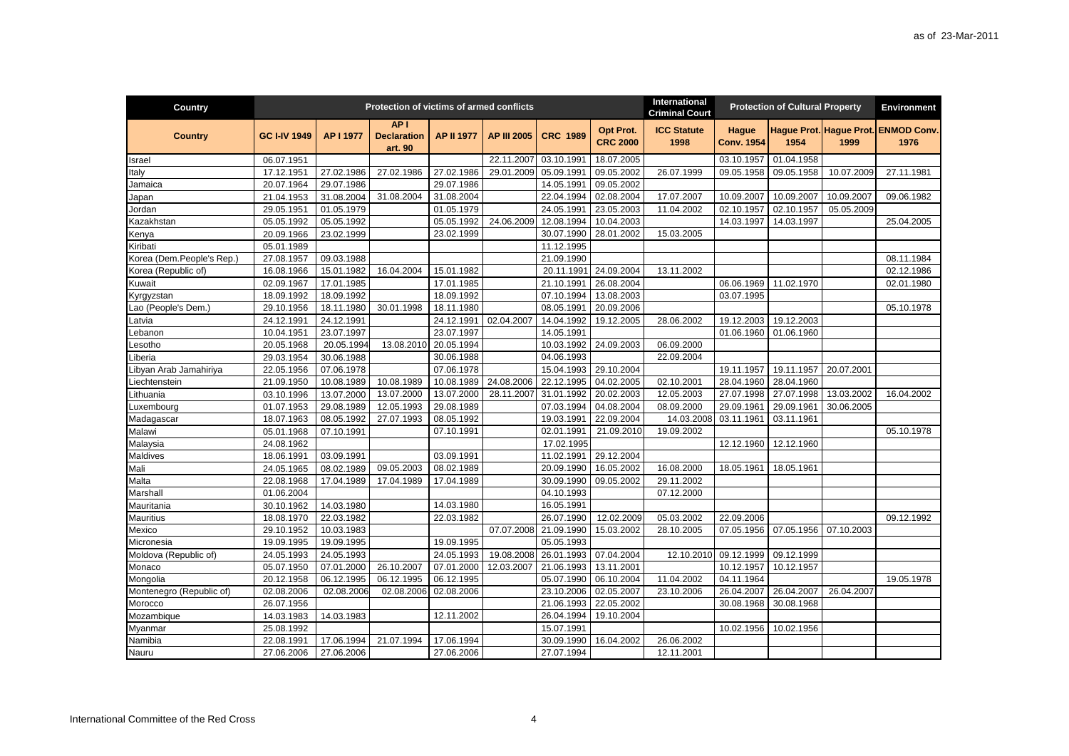| Country                   |                     |            | Protection of victims of armed conflicts         |                   |                    |                 |                              | International<br><b>Criminal Court</b> |                                   | <b>Protection of Cultural Property</b> |            | <b>Environment</b>                          |
|---------------------------|---------------------|------------|--------------------------------------------------|-------------------|--------------------|-----------------|------------------------------|----------------------------------------|-----------------------------------|----------------------------------------|------------|---------------------------------------------|
| <b>Country</b>            | <b>GC I-IV 1949</b> | AP I 1977  | AP <sub>1</sub><br><b>Declaration</b><br>art. 90 | <b>AP II 1977</b> | <b>AP III 2005</b> | <b>CRC 1989</b> | Opt Prot.<br><b>CRC 2000</b> | <b>ICC Statute</b><br>1998             | <b>Hague</b><br><b>Conv. 1954</b> | 1954                                   | 1999       | Hague Prot. Hague Prot. ENMOD Conv.<br>1976 |
| Israel                    | 06.07.1951          |            |                                                  |                   | 22.11.2007         | 03.10.1991      | 18.07.2005                   |                                        | 03.10.1957                        | 01.04.1958                             |            |                                             |
| Italy                     | 17.12.1951          | 27.02.1986 | 27.02.1986                                       | 27.02.1986        | 29.01.2009         | 05.09.1991      | 09.05.2002                   | 26.07.1999                             | 09.05.1958                        | 09.05.1958                             | 10.07.2009 | 27.11.1981                                  |
| Jamaica                   | 20.07.1964          | 29.07.1986 |                                                  | 29.07.1986        |                    | 14.05.1991      | 09.05.2002                   |                                        |                                   |                                        |            |                                             |
| Japan                     | 21.04.1953          | 31.08.2004 | 31.08.2004                                       | 31.08.2004        |                    | 22.04.1994      | 02.08.2004                   | 17.07.2007                             | 10.09.2007                        | 10.09.2007                             | 10.09.2007 | 09.06.1982                                  |
| Jordan                    | 29.05.1951          | 01.05.1979 |                                                  | 01.05.1979        |                    | 24.05.1991      | 23.05.2003                   | 11.04.2002                             | 02.10.1957                        | 02.10.1957                             | 05.05.2009 |                                             |
| Kazakhstan                | 05.05.1992          | 05.05.1992 |                                                  | 05.05.1992        | 24.06.2009         | 12.08.1994      | 10.04.2003                   |                                        | 14.03.1997                        | 14.03.1997                             |            | 25.04.2005                                  |
| Kenya                     | 20.09.1966          | 23.02.1999 |                                                  | 23.02.1999        |                    | 30.07.1990      | 28.01.2002                   | 15.03.2005                             |                                   |                                        |            |                                             |
| Kiribati                  | 05.01.1989          |            |                                                  |                   |                    | 11.12.1995      |                              |                                        |                                   |                                        |            |                                             |
| Korea (Dem.People's Rep.) | 27.08.1957          | 09.03.1988 |                                                  |                   |                    | 21.09.1990      |                              |                                        |                                   |                                        |            | 08.11.1984                                  |
| Korea (Republic of)       | 16.08.1966          | 15.01.1982 | 16.04.2004                                       | 15.01.1982        |                    | 20.11.1991      | 24.09.2004                   | 13.11.2002                             |                                   |                                        |            | 02.12.1986                                  |
| Kuwait                    | 02.09.1967          | 17.01.1985 |                                                  | 17.01.1985        |                    | 21.10.1991      | 26.08.2004                   |                                        | 06.06.1969                        | 11.02.1970                             |            | 02.01.1980                                  |
| Kyrgyzstan                | 18.09.1992          | 18.09.1992 |                                                  | 18.09.1992        |                    | 07.10.1994      | 13.08.2003                   |                                        | 03.07.1995                        |                                        |            |                                             |
| Lao (People's Dem.)       | 29.10.1956          | 18.11.1980 | 30.01.1998                                       | 18.11.1980        |                    | 08.05.1991      | 20.09.2006                   |                                        |                                   |                                        |            | 05.10.1978                                  |
| Latvia                    | 24.12.1991          | 24.12.1991 |                                                  | 24.12.1991        | 02.04.2007         | 14.04.1992      | 19.12.2005                   | 28.06.2002                             | 19.12.2003                        | 19.12.2003                             |            |                                             |
| _ebanon                   | 10.04.1951          | 23.07.1997 |                                                  | 23.07.1997        |                    | 14.05.1991      |                              |                                        | 01.06.1960                        | 01.06.1960                             |            |                                             |
| .esotho                   | 20.05.1968          | 20.05.1994 | 13.08.2010                                       | 20.05.1994        |                    | 10.03.1992      | 24.09.2003                   | 06.09.2000                             |                                   |                                        |            |                                             |
| _iberia                   | 29.03.1954          | 30.06.1988 |                                                  | 30.06.1988        |                    | 04.06.1993      |                              | 22.09.2004                             |                                   |                                        |            |                                             |
| Libyan Arab Jamahiriya    | 22.05.1956          | 07.06.1978 |                                                  | 07.06.1978        |                    | 15.04.1993      | 29.10.2004                   |                                        | 19.11.1957                        | 19.11.1957                             | 20.07.2001 |                                             |
| Liechtenstein             | 21.09.1950          | 10.08.1989 | 10.08.1989                                       | 10.08.1989        | 24.08.2006         | 22.12.1995      | 04.02.2005                   | 02.10.2001                             | 28.04.1960                        | 28.04.1960                             |            |                                             |
| Lithuania                 | 03.10.1996          | 13.07.2000 | 13.07.2000                                       | 13.07.2000        | 28.11.2007         | 31.01.1992      | $\overline{20.02.2003}$      | 12.05.2003                             | 27.07.1998                        | 27.07.1998                             | 13.03.2002 | 16.04.2002                                  |
| Luxembourg                | 01.07.1953          | 29.08.1989 | 12.05.1993                                       | 29.08.1989        |                    | 07.03.1994      | 04.08.2004                   | 08.09.2000                             | 29.09.1961                        | 29.09.1961                             | 30.06.2005 |                                             |
| Madagascar                | 18.07.1963          | 08.05.1992 | 27.07.1993                                       | 08.05.1992        |                    | 19.03.1991      | 22.09.2004                   | 14.03.2008                             | 03.11.1961                        | 03.11.1961                             |            |                                             |
| Malawi                    | 05.01.1968          | 07.10.1991 |                                                  | 07.10.1991        |                    | 02.01.1991      | 21.09.2010                   | 19.09.2002                             |                                   |                                        |            | 05.10.1978                                  |
| Malaysia                  | 24.08.1962          |            |                                                  |                   |                    | 17.02.1995      |                              |                                        | 12.12.1960                        | 12.12.1960                             |            |                                             |
| Maldives                  | 18.06.1991          | 03.09.1991 |                                                  | 03.09.1991        |                    | 11.02.1991      | 29.12.2004                   |                                        |                                   |                                        |            |                                             |
| Mali                      | 24.05.1965          | 08.02.1989 | 09.05.2003                                       | 08.02.1989        |                    | 20.09.1990      | 16.05.2002                   | 16.08.2000                             | 18.05.1961                        | 18.05.1961                             |            |                                             |
| Malta                     | 22.08.1968          | 17.04.1989 | 17.04.1989                                       | 17.04.1989        |                    | 30.09.1990      | 09.05.2002                   | 29.11.2002                             |                                   |                                        |            |                                             |
| Marshall                  | 01.06.2004          |            |                                                  |                   |                    | 04.10.1993      |                              | 07.12.2000                             |                                   |                                        |            |                                             |
| Mauritania                | 30.10.1962          | 14.03.1980 |                                                  | 14.03.1980        |                    | 16.05.1991      |                              |                                        |                                   |                                        |            |                                             |
| Mauritius                 | 18.08.1970          | 22.03.1982 |                                                  | 22.03.1982        |                    | 26.07.1990      | 12.02.2009                   | 05.03.2002                             | 22.09.2006                        |                                        |            | 09.12.1992                                  |
| Mexico                    | 29.10.1952          | 10.03.1983 |                                                  |                   | 07.07.2008         | 21.09.1990      | 15.03.2002                   | 28.10.2005                             | 07.05.1956                        | 07.05.1956                             | 07.10.2003 |                                             |
| Micronesia                | 19.09.1995          | 19.09.1995 |                                                  | 19.09.1995        |                    | 05.05.1993      |                              |                                        |                                   |                                        |            |                                             |
| Moldova (Republic of)     | 24.05.1993          | 24.05.1993 |                                                  | 24.05.1993        | 19.08.2008         | 26.01.1993      | 07.04.2004                   | 12.10.2010                             | 09.12.1999                        | 09.12.1999                             |            |                                             |
| Monaco                    | 05.07.1950          | 07.01.2000 | 26.10.2007                                       | 07.01.2000        | 12.03.2007         | 21.06.1993      | 13.11.2001                   |                                        | 10.12.1957                        | 10.12.1957                             |            |                                             |
| Mongolia                  | 20.12.1958          | 06.12.1995 | 06.12.1995                                       | 06.12.1995        |                    | 05.07.1990      | 06.10.2004                   | 11.04.2002                             | 04.11.1964                        |                                        |            | 19.05.1978                                  |
| Montenegro (Republic of)  | 02.08.2006          | 02.08.2006 | 02.08.2006                                       | 02.08.2006        |                    | 23.10.2006      | 02.05.2007                   | 23.10.2006                             | 26.04.2007                        | 26.04.2007                             | 26.04.2007 |                                             |
| Morocco                   | 26.07.1956          |            |                                                  |                   |                    | 21.06.1993      | 22.05.2002                   |                                        | 30.08.1968                        | 30.08.1968                             |            |                                             |
| Mozambique                | 14.03.1983          | 14.03.1983 |                                                  | 12.11.2002        |                    | 26.04.1994      | 19.10.2004                   |                                        |                                   |                                        |            |                                             |
| Myanmar                   | 25.08.1992          |            |                                                  |                   |                    | 15.07.1991      |                              |                                        | 10.02.1956                        | 10.02.1956                             |            |                                             |
| Namibia                   | 22.08.1991          | 17.06.1994 | 21.07.1994                                       | 17.06.1994        |                    | 30.09.1990      | 16.04.2002                   | 26.06.2002                             |                                   |                                        |            |                                             |
| Nauru                     | 27.06.2006          | 27.06.2006 |                                                  | 27.06.2006        |                    | 27.07.1994      |                              | 12.11.2001                             |                                   |                                        |            |                                             |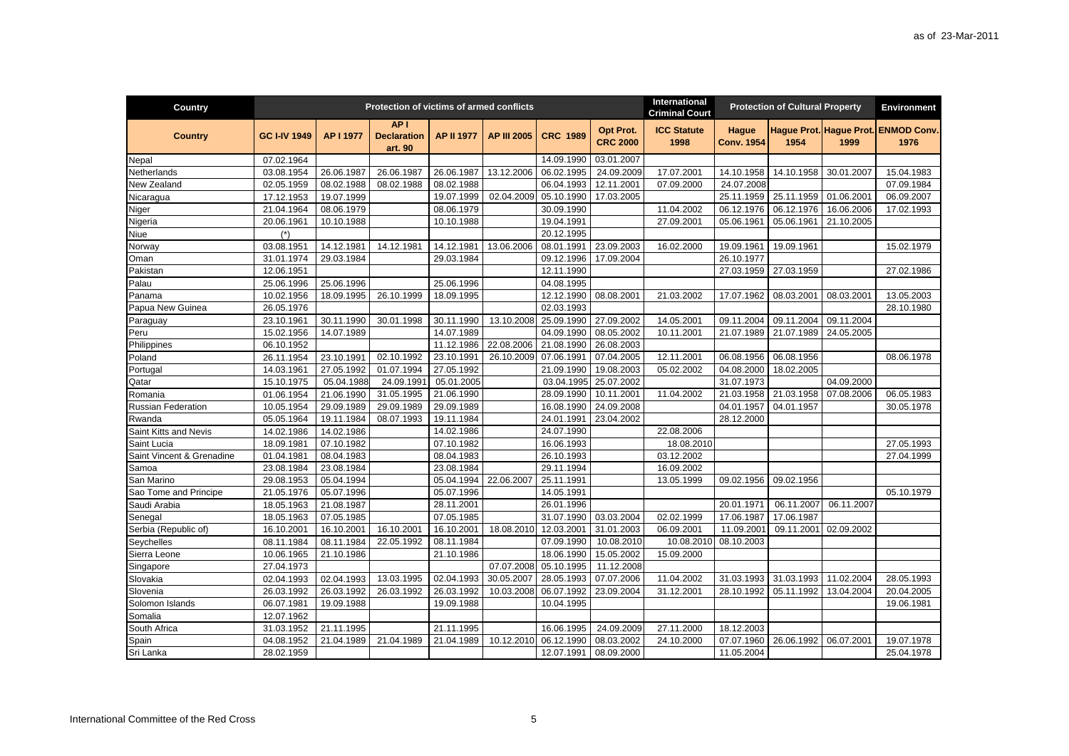| Country                   |                     |            | Protection of victims of armed conflicts         |            |                    |                 |                              | International<br><b>Criminal Court</b> |                                   | <b>Protection of Cultural Property</b> |            | <b>Environment</b>         |
|---------------------------|---------------------|------------|--------------------------------------------------|------------|--------------------|-----------------|------------------------------|----------------------------------------|-----------------------------------|----------------------------------------|------------|----------------------------|
| <b>Country</b>            | <b>GC I-IV 1949</b> | AP I 1977  | AP <sub>1</sub><br><b>Declaration</b><br>art. 90 | AP II 1977 | <b>AP III 2005</b> | <b>CRC 1989</b> | Opt Prot.<br><b>CRC 2000</b> | <b>ICC Statute</b><br>1998             | <b>Hague</b><br><b>Conv. 1954</b> | Hague Prot. Hague Prot.<br>1954        | 1999       | <b>ENMOD Conv.</b><br>1976 |
| Nepal                     | 07.02.1964          |            |                                                  |            |                    | 14.09.1990      | 03.01.2007                   |                                        |                                   |                                        |            |                            |
| Netherlands               | 03.08.1954          | 26.06.1987 | 26.06.1987                                       | 26.06.1987 | 13.12.2006         | 06.02.1995      | 24.09.2009                   | 17.07.2001                             | 14.10.1958                        | 14.10.1958                             | 30.01.2007 | 15.04.1983                 |
| New Zealand               | 02.05.1959          | 08.02.1988 | 08.02.1988                                       | 08.02.1988 |                    | 06.04.1993      | 12.11.2001                   | 07.09.2000                             | 24.07.2008                        |                                        |            | 07.09.1984                 |
| Nicaragua                 | 17.12.1953          | 19.07.1999 |                                                  | 19.07.1999 | 02.04.2009         | 05.10.1990      | 17.03.2005                   |                                        | 25.11.1959                        | 25.11.1959                             | 01.06.2001 | 06.09.2007                 |
| Niger                     | 21.04.1964          | 08.06.1979 |                                                  | 08.06.1979 |                    | 30.09.1990      |                              | 11.04.2002                             | 06.12.1976                        | 06.12.1976                             | 16.06.2006 | 17.02.1993                 |
| Nigeria                   | 20.06.1961          | 10.10.1988 |                                                  | 10.10.1988 |                    | 19.04.1991      |                              | 27.09.2001                             | 05.06.1961                        | 05.06.1961                             | 21.10.2005 |                            |
| Niue                      | $(*)$               |            |                                                  |            |                    | 20.12.1995      |                              |                                        |                                   |                                        |            |                            |
| Norway                    | 03.08.1951          | 14.12.1981 | 14.12.1981                                       | 14.12.1981 | 13.06.2006         | 08.01.1991      | 23.09.2003                   | 16.02.2000                             | 19.09.1961                        | 19.09.1961                             |            | 15.02.1979                 |
| Oman                      | 31.01.1974          | 29.03.1984 |                                                  | 29.03.1984 |                    | 09.12.1996      | 17.09.2004                   |                                        | 26.10.1977                        |                                        |            |                            |
| Pakistan                  | 12.06.1951          |            |                                                  |            |                    | 12.11.1990      |                              |                                        | 27.03.1959                        | 27.03.1959                             |            | 27.02.1986                 |
| Palau                     | 25.06.1996          | 25.06.1996 |                                                  | 25.06.1996 |                    | 04.08.1995      |                              |                                        |                                   |                                        |            |                            |
| Panama                    | 10.02.1956          | 18.09.1995 | 26.10.1999                                       | 18.09.1995 |                    | 12.12.1990      | 08.08.2001                   | 21.03.2002                             | 17.07.1962                        | 08.03.2001                             | 08.03.2001 | 13.05.2003                 |
| Papua New Guinea          | 26.05.1976          |            |                                                  |            |                    | 02.03.1993      |                              |                                        |                                   |                                        |            | 28.10.1980                 |
| Paraguay                  | 23.10.1961          | 30.11.1990 | 30.01.1998                                       | 30.11.1990 | 13.10.2008         | 25.09.1990      | 27.09.2002                   | 14.05.2001                             | 09.11.2004                        | 09.11.2004                             | 09.11.2004 |                            |
| Peru                      | 15.02.1956          | 14.07.1989 |                                                  | 14.07.1989 |                    | 04.09.1990      | 08.05.2002                   | 10.11.2001                             | 21.07.1989                        | 21.07.1989                             | 24.05.2005 |                            |
| Philippines               | 06.10.1952          |            |                                                  | 11.12.1986 | 22.08.2006         | 21.08.1990      | 26.08.2003                   |                                        |                                   |                                        |            |                            |
| Poland                    | 26.11.1954          | 23.10.1991 | 02.10.1992                                       | 23.10.1991 | 26.10.2009         | 07.06.1991      | $\overline{07}$ .04.2005     | 12.11.2001                             | 06.08.1956                        | 06.08.1956                             |            | 08.06.1978                 |
| Portugal                  | 14.03.1961          | 27.05.1992 | 01.07.1994                                       | 27.05.1992 |                    | 21.09.1990      | 19.08.2003                   | 05.02.2002                             | 04.08.2000                        | 18.02.2005                             |            |                            |
| Qatar                     | 15.10.1975          | 05.04.1988 | 24.09.1991                                       | 05.01.2005 |                    | 03.04.1995      | 25.07.2002                   |                                        | 31.07.1973                        |                                        | 04.09.2000 |                            |
| Romania                   | 01.06.1954          | 21.06.1990 | 31.05.1995                                       | 21.06.1990 |                    | 28.09.1990      | 10.11.2001                   | 11.04.2002                             | 21.03.1958                        | 21.03.1958                             | 07.08.2006 | 06.05.1983                 |
| <b>Russian Federation</b> | 10.05.1954          | 29.09.1989 | 29.09.1989                                       | 29.09.1989 |                    | 16.08.1990      | 24.09.2008                   |                                        | 04.01.1957                        | 04.01.1957                             |            | 30.05.1978                 |
| Rwanda                    | 05.05.1964          | 19.11.1984 | 08.07.1993                                       | 19.11.1984 |                    | 24.01.1991      | 23.04.2002                   |                                        | 28.12.2000                        |                                        |            |                            |
| Saint Kitts and Nevis     | 14.02.1986          | 14.02.1986 |                                                  | 14.02.1986 |                    | 24.07.1990      |                              | 22.08.2006                             |                                   |                                        |            |                            |
| Saint Lucia               | 18.09.1981          | 07.10.1982 |                                                  | 07.10.1982 |                    | 16.06.1993      |                              | 18.08.2010                             |                                   |                                        |            | 27.05.1993                 |
| Saint Vincent & Grenadine | 01.04.1981          | 08.04.1983 |                                                  | 08.04.1983 |                    | 26.10.1993      |                              | 03.12.2002                             |                                   |                                        |            | 27.04.1999                 |
| Samoa                     | 23.08.1984          | 23.08.1984 |                                                  | 23.08.1984 |                    | 29.11.1994      |                              | 16.09.2002                             |                                   |                                        |            |                            |
| San Marino                | 29.08.1953          | 05.04.1994 |                                                  | 05.04.1994 | 22.06.2007         | 25.11.1991      |                              | 13.05.1999                             | 09.02.1956                        | 09.02.1956                             |            |                            |
| Sao Tome and Principe     | 21.05.1976          | 05.07.1996 |                                                  | 05.07.1996 |                    | 14.05.1991      |                              |                                        |                                   |                                        |            | 05.10.1979                 |
| Saudi Arabia              | 18.05.1963          | 21.08.1987 |                                                  | 28.11.2001 |                    | 26.01.1996      |                              |                                        | 20.01.1971                        | 06.11.2007                             | 06.11.2007 |                            |
| Senegal                   | 18.05.1963          | 07.05.1985 |                                                  | 07.05.1985 |                    | 31.07.1990      | 03.03.2004                   | 02.02.1999                             | 17.06.1987                        | 17.06.1987                             |            |                            |
| Serbia (Republic of)      | 16.10.2001          | 16.10.2001 | 16.10.2001                                       | 16.10.2001 | 18.08.2010         | 12.03.2001      | 31.01.2003                   | 06.09.2001                             | 11.09.2001                        | 09.11.2001                             | 02.09.2002 |                            |
| Seychelles                | 08.11.1984          | 08.11.1984 | 22.05.1992                                       | 08.11.1984 |                    | 07.09.1990      | 10.08.2010                   | 10.08.201                              | 08.10.2003                        |                                        |            |                            |
| Sierra Leone              | 10.06.1965          | 21.10.1986 |                                                  | 21.10.1986 |                    | 18.06.1990      | 15.05.2002                   | 15.09.2000                             |                                   |                                        |            |                            |
| Singapore                 | 27.04.1973          |            |                                                  |            | 07.07.2008         | 05.10.1995      | 11.12.2008                   |                                        |                                   |                                        |            |                            |
| Slovakia                  | 02.04.1993          | 02.04.1993 | 13.03.1995                                       | 02.04.1993 | 30.05.2007         | 28.05.1993      | 07.07.2006                   | 11.04.2002                             | 31.03.1993                        | 31.03.1993                             | 11.02.2004 | 28.05.1993                 |
| Slovenia                  | 26.03.1992          | 26.03.1992 | 26.03.1992                                       | 26.03.1992 | 10.03.2008         | 06.07.1992      | 23.09.2004                   | 31.12.2001                             | 28.10.1992                        | 05.11.1992                             | 13.04.2004 | 20.04.2005                 |
| Solomon Islands           | 06.07.1981          | 19.09.1988 |                                                  | 19.09.1988 |                    | 10.04.1995      |                              |                                        |                                   |                                        |            | 19.06.1981                 |
| Somalia                   | 12.07.1962          |            |                                                  |            |                    |                 |                              |                                        |                                   |                                        |            |                            |
| South Africa              | 31.03.1952          | 21.11.1995 |                                                  | 21.11.1995 |                    | 16.06.1995      | 24.09.2009                   | 27.11.2000                             | 18.12.2003                        |                                        |            |                            |
| Spain                     | 04.08.1952          | 21.04.1989 | 21.04.1989                                       | 21.04.1989 | 10.12.2010         | 06.12.1990      | 08.03.2002                   | 24.10.2000                             | 07.07.1960                        | 26.06.1992                             | 06.07.2001 | 19.07.1978                 |
| Sri Lanka                 | 28.02.1959          |            |                                                  |            |                    | 12.07.1991      | 08.09.2000                   |                                        | 11.05.2004                        |                                        |            | 25.04.1978                 |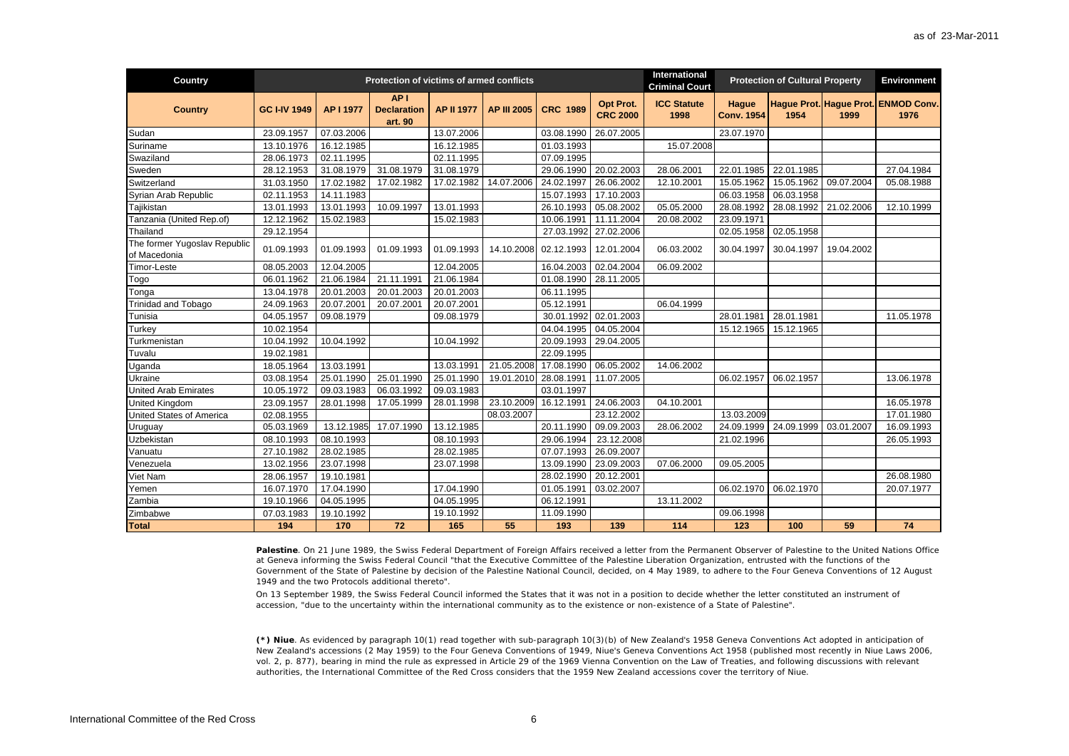| Country                                      |                     |            | Protection of victims of armed conflicts         |                   |                    |                 |                              | <b>International</b><br><b>Criminal Court</b> |                            | <b>Protection of Cultural Property</b> |            | <b>Environment</b>                          |
|----------------------------------------------|---------------------|------------|--------------------------------------------------|-------------------|--------------------|-----------------|------------------------------|-----------------------------------------------|----------------------------|----------------------------------------|------------|---------------------------------------------|
| <b>Country</b>                               | <b>GC I-IV 1949</b> | AP I 1977  | AP <sub>1</sub><br><b>Declaration</b><br>art. 90 | <b>AP II 1977</b> | <b>AP III 2005</b> | <b>CRC 1989</b> | Opt Prot.<br><b>CRC 2000</b> | <b>ICC Statute</b><br>1998                    | Hague<br><b>Conv. 1954</b> | 1954                                   | 1999       | Hague Prot. Hague Prot. ENMOD Conv.<br>1976 |
| Sudan                                        | 23.09.1957          | 07.03.2006 |                                                  | 13.07.2006        |                    | 03.08.1990      | 26.07.2005                   |                                               | 23.07.1970                 |                                        |            |                                             |
| Suriname                                     | 13.10.1976          | 16.12.1985 |                                                  | 16.12.1985        |                    | 01.03.1993      |                              | 15.07.2008                                    |                            |                                        |            |                                             |
| Swaziland                                    | 28.06.1973          | 02.11.1995 |                                                  | 02.11.1995        |                    | 07.09.1995      |                              |                                               |                            |                                        |            |                                             |
| Sweden                                       | 28.12.1953          | 31.08.1979 | 31.08.1979                                       | 31.08.1979        |                    | 29.06.1990      | 20.02.2003                   | 28.06.2001                                    | 22.01.1985                 | 22.01.1985                             |            | 27.04.1984                                  |
| Switzerland                                  | 31.03.1950          | 17.02.1982 | 17.02.1982                                       | 17.02.1982        | 14.07.2006         | 24.02.1997      | 26.06.2002                   | 12.10.2001                                    | 15.05.1962                 | 15.05.1962                             | 09.07.2004 | 05.08.1988                                  |
| Syrian Arab Republic                         | 02.11.1953          | 14.11.1983 |                                                  |                   |                    | 15.07.1993      | 17.10.2003                   |                                               | 06.03.1958                 | 06.03.1958                             |            |                                             |
| Tajikistan                                   | 13.01.1993          | 13.01.1993 | 10.09.1997                                       | 13.01.1993        |                    | 26.10.1993      | 05.08.2002                   | 05.05.2000                                    | 28.08.1992                 | 28.08.1992                             | 21.02.2006 | 12.10.1999                                  |
| Tanzania (United Rep.of)                     | 12.12.1962          | 15.02.1983 |                                                  | 15.02.1983        |                    | 10.06.1991      | 11.11.2004                   | 20.08.2002                                    | 23.09.1971                 |                                        |            |                                             |
| Thailand                                     | 29.12.1954          |            |                                                  |                   |                    | 27.03.1992      | 27.02.2006                   |                                               | 02.05.1958                 | 02.05.1958                             |            |                                             |
| The former Yugoslav Republic<br>of Macedonia | 01.09.1993          | 01.09.1993 | 01.09.1993                                       | 01.09.1993        | 14.10.2008         | 02.12.1993      | 12.01.2004                   | 06.03.2002                                    | 30.04.1997                 | 30.04.1997                             | 19.04.2002 |                                             |
| Timor-Leste                                  | 08.05.2003          | 12.04.2005 |                                                  | 12.04.2005        |                    | 16.04.2003      | 02.04.2004                   | 06.09.2002                                    |                            |                                        |            |                                             |
| Togo                                         | 06.01.1962          | 21.06.1984 | 21.11.1991                                       | 21.06.1984        |                    | 01.08.1990      | 28.11.2005                   |                                               |                            |                                        |            |                                             |
| Tonga                                        | 13.04.1978          | 20.01.2003 | 20.01.2003                                       | 20.01.2003        |                    | 06.11.1995      |                              |                                               |                            |                                        |            |                                             |
| <b>Trinidad and Tobago</b>                   | 24.09.1963          | 20.07.2001 | 20.07.2001                                       | 20.07.2001        |                    | 05.12.1991      |                              | 06.04.1999                                    |                            |                                        |            |                                             |
| Tunisia                                      | 04.05.1957          | 09.08.1979 |                                                  | 09.08.1979        |                    | 30.01.1992      | 02.01.2003                   |                                               | 28.01.1981                 | 28.01.1981                             |            | 11.05.1978                                  |
| Turkey                                       | 10.02.1954          |            |                                                  |                   |                    | 04.04.1995      | 04.05.2004                   |                                               | 15.12.1965                 | 15.12.1965                             |            |                                             |
| Turkmenistan                                 | 10.04.1992          | 10.04.1992 |                                                  | 10.04.1992        |                    | 20.09.1993      | 29.04.2005                   |                                               |                            |                                        |            |                                             |
| Tuvalu                                       | 19.02.1981          |            |                                                  |                   |                    | 22.09.1995      |                              |                                               |                            |                                        |            |                                             |
| Uganda                                       | 18.05.1964          | 13.03.1991 |                                                  | 13.03.1991        | 21.05.2008         | 17.08.1990      | 06.05.2002                   | 14.06.2002                                    |                            |                                        |            |                                             |
| Ukraine                                      | 03.08.1954          | 25.01.1990 | 25.01.1990                                       | 25.01.1990        | 19.01.2010         | 28.08.1991      | 11.07.2005                   |                                               | 06.02.1957                 | 06.02.1957                             |            | 13.06.1978                                  |
| <b>United Arab Emirates</b>                  | 10.05.1972          | 09.03.1983 | 06.03.1992                                       | 09.03.1983        |                    | 03.01.1997      |                              |                                               |                            |                                        |            |                                             |
| United Kingdom                               | 23.09.1957          | 28.01.1998 | 17.05.1999                                       | 28.01.1998        | 23.10.2009         | 16.12.1991      | 24.06.2003                   | 04.10.2001                                    |                            |                                        |            | 16.05.1978                                  |
| United States of America                     | 02.08.1955          |            |                                                  |                   | 08.03.2007         |                 | 23.12.2002                   |                                               | 13.03.2009                 |                                        |            | 17.01.1980                                  |
| Uruguay                                      | 05.03.1969          | 13.12.1985 | 17.07.1990                                       | 13.12.1985        |                    | 20.11.1990      | 09.09.2003                   | 28.06.2002                                    | 24.09.1999                 | 24.09.1999                             | 03.01.2007 | 16.09.1993                                  |
| Uzbekistan                                   | 08.10.1993          | 08.10.1993 |                                                  | 08.10.1993        |                    | 29.06.1994      | 23.12.2008                   |                                               | 21.02.1996                 |                                        |            | 26.05.1993                                  |
| Vanuatu                                      | 27.10.1982          | 28.02.1985 |                                                  | 28.02.1985        |                    | 07.07.1993      | 26.09.2007                   |                                               |                            |                                        |            |                                             |
| Venezuela                                    | 13.02.1956          | 23.07.1998 |                                                  | 23.07.1998        |                    | 13.09.1990      | 23.09.2003                   | 07.06.2000                                    | 09.05.2005                 |                                        |            |                                             |
| Viet Nam                                     | 28.06.1957          | 19.10.1981 |                                                  |                   |                    | 28.02.1990      | 20.12.2001                   |                                               |                            |                                        |            | 26.08.1980                                  |
| Yemen                                        | 16.07.1970          | 17.04.1990 |                                                  | 17.04.1990        |                    | 01.05.1991      | 03.02.2007                   |                                               | 06.02.1970                 | 06.02.1970                             |            | 20.07.1977                                  |
| Zambia                                       | 19.10.1966          | 04.05.1995 |                                                  | 04.05.1995        |                    | 06.12.1991      |                              | 13.11.2002                                    |                            |                                        |            |                                             |
| Zimbabwe                                     | 07.03.1983          | 19.10.1992 |                                                  | 19.10.1992        |                    | 11.09.1990      |                              |                                               | 09.06.1998                 |                                        |            |                                             |
| <b>Total</b>                                 | 194                 | 170        | 72                                               | 165               | 55                 | 193             | 139                          | 114                                           | 123                        | 100                                    | 59         | 74                                          |

Palestine. On 21 June 1989, the Swiss Federal Department of Foreign Affairs received a letter from the Permanent Observer of Palestine to the United Nations Office at Geneva informing the Swiss Federal Council "that the Executive Committee of the Palestine Liberation Organization, entrusted with the functions of the Government of the State of Palestine by decision of the Palestine National Council, decided, on 4 May 1989, to adhere to the Four Geneva Conventions of 12 August 1949 and the two Protocols additional thereto".

On 13 September 1989, the Swiss Federal Council informed the States that it was not in a position to decide whether the letter constituted an instrument of accession, "due to the uncertainty within the international community as to the existence or non-existence of a State of Palestine".

**(\*) Niue**. As evidenced by paragraph 10(1) read together with sub-paragraph 10(3)(b) of New Zealand's 1958 Geneva Conventions Act adopted in anticipation of New Zealand's accessions (2 May 1959) to the Four Geneva Conventions of 1949, Niue's Geneva Conventions Act 1958 (published most recently in Niue Laws 2006, vol. 2, p. 877), bearing in mind the rule as expressed in Article 29 of the 1969 Vienna Convention on the Law of Treaties, and following discussions with relevant authorities, the International Committee of the Red Cross considers that the 1959 New Zealand accessions cover the territory of Niue.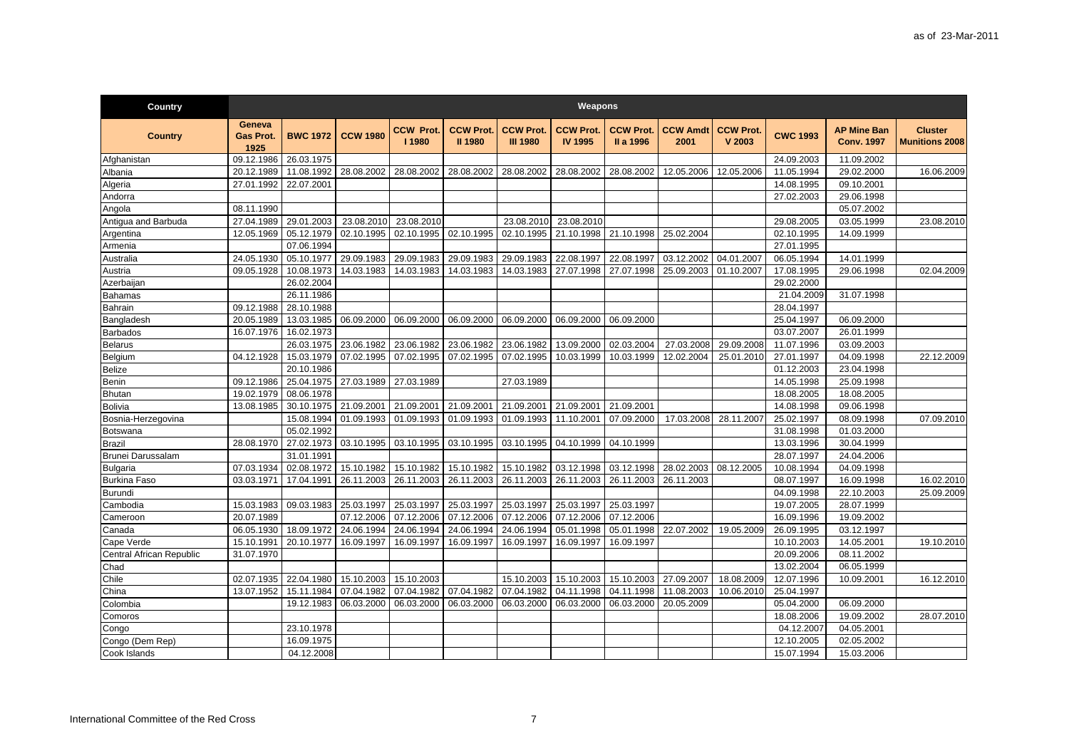| Country                  |                                    |                 |                       |                           |                                    |                                     | Weapons                            |                               |                         |                            |                 |                                         |                                         |
|--------------------------|------------------------------------|-----------------|-----------------------|---------------------------|------------------------------------|-------------------------------------|------------------------------------|-------------------------------|-------------------------|----------------------------|-----------------|-----------------------------------------|-----------------------------------------|
| <b>Country</b>           | Geneva<br><b>Gas Prot.</b><br>1925 | <b>BWC 1972</b> | <b>CCW 1980</b>       | <b>CCW Prot.</b><br>11980 | <b>CCW Prot.</b><br><b>II 1980</b> | <b>CCW Prot.</b><br><b>III 1980</b> | <b>CCW Prot.</b><br><b>IV 1995</b> | <b>CCW Prot.</b><br>II a 1996 | <b>CCW Amdt</b><br>2001 | <b>CCW Prot.</b><br>V 2003 | <b>CWC 1993</b> | <b>AP Mine Ban</b><br><b>Conv. 1997</b> | <b>Cluster</b><br><b>Munitions 2008</b> |
| Afghanistan              | 09.12.1986                         | 26.03.1975      |                       |                           |                                    |                                     |                                    |                               |                         |                            | 24.09.2003      | 11.09.2002                              |                                         |
| Albania                  | 20.12.1989                         | 11.08.1992      | 28.08.2002            | 28.08.2002                | 28.08.2002                         | 28.08.2002                          | 28.08.2002                         | 28.08.2002                    | 12.05.2006              | 12.05.2006                 | 11.05.1994      | 29.02.2000                              | 16.06.2009                              |
| Algeria                  | 27.01.1992                         | 22.07.2001      |                       |                           |                                    |                                     |                                    |                               |                         |                            | 14.08.1995      | 09.10.2001                              |                                         |
| Andorra                  |                                    |                 |                       |                           |                                    |                                     |                                    |                               |                         |                            | 27.02.2003      | 29.06.1998                              |                                         |
| Angola                   | 08.11.1990                         |                 |                       |                           |                                    |                                     |                                    |                               |                         |                            |                 | 05.07.2002                              |                                         |
| Antigua and Barbuda      | 27.04.1989                         | 29.01.2003      | 23.08.2010            | 23.08.2010                |                                    | 23.08.2010                          | 23.08.2010                         |                               |                         |                            | 29.08.2005      | 03.05.1999                              | 23.08.2010                              |
| Argentina                | 12.05.1969                         | 05.12.1979      | 02.10.1995            | 02.10.1995                | 02.10.1995                         | 02.10.1995                          | 21.10.1998                         | 21.10.1998                    | 25.02.2004              |                            | 02.10.1995      | 14.09.1999                              |                                         |
| Armenia                  |                                    | 07.06.1994      |                       |                           |                                    |                                     |                                    |                               |                         |                            | 27.01.1995      |                                         |                                         |
| Australia                | 24.05.1930                         | 05.10.1977      | 29.09.1983            | 29.09.1983                | 29.09.1983                         | 29.09.1983                          | 22.08.1997                         | 22.08.1997                    | 03.12.2002              | 04.01.2007                 | 06.05.1994      | 14.01.1999                              |                                         |
| Austria                  | 09.05.1928                         | 10.08.1973      | 14.03.1983            | 14.03.1983                | 14.03.1983                         | 14.03.1983                          | 27.07.1998                         | 27.07.1998                    | 25.09.2003              | 01.10.2007                 | 17.08.1995      | 29.06.1998                              | 02.04.2009                              |
| Azerbaijan               |                                    | 26.02.2004      |                       |                           |                                    |                                     |                                    |                               |                         |                            | 29.02.2000      |                                         |                                         |
| Bahamas                  |                                    | 26.11.1986      |                       |                           |                                    |                                     |                                    |                               |                         |                            | 21.04.2009      | 31.07.1998                              |                                         |
| Bahrain                  | 09.12.1988                         | 28.10.1988      |                       |                           |                                    |                                     |                                    |                               |                         |                            | 28.04.1997      |                                         |                                         |
| Bangladesh               | 20.05.1989                         | 13.03.1985      | 06.09.2000            | 06.09.2000                | 06.09.2000                         | 06.09.2000                          | 06.09.2000                         | 06.09.2000                    |                         |                            | 25.04.1997      | 06.09.2000                              |                                         |
| <b>Barbados</b>          | 16.07.1976                         | 16.02.1973      |                       |                           |                                    |                                     |                                    |                               |                         |                            | 03.07.2007      | 26.01.1999                              |                                         |
| Belarus                  |                                    | 26.03.1975      | 23.06.1982            | 23.06.1982                | 23.06.1982                         | 23.06.1982                          | 13.09.2000                         | 02.03.2004                    | 27.03.2008              | 29.09.2008                 | 11.07.1996      | 03.09.2003                              |                                         |
| Belgium                  | 04.12.1928                         | 15.03.1979      | 07.02.1995            | 07.02.1995                | 07.02.1995                         | 07.02.1995                          | 10.03.1999                         | 10.03.1999                    | 12.02.2004              | 25.01.2010                 | 27.01.1997      | 04.09.1998                              | 22.12.2009                              |
| Belize                   |                                    | 20.10.1986      |                       |                           |                                    |                                     |                                    |                               |                         |                            | 01.12.2003      | 23.04.1998                              |                                         |
| Benin                    | 09.12.1986                         | 25.04.1975      | 27.03.1989 27.03.1989 |                           |                                    | 27.03.1989                          |                                    |                               |                         |                            | 14.05.1998      | 25.09.1998                              |                                         |
| Bhutan                   | 19.02.1979                         | 08.06.1978      |                       |                           |                                    |                                     |                                    |                               |                         |                            | 18.08.2005      | 18.08.2005                              |                                         |
| <b>Bolivia</b>           | 13.08.1985                         | 30.10.1975      | 21.09.2001            | 21.09.2001                | 21.09.2001                         | 21.09.2001                          | 21.09.2001                         | 21.09.2001                    |                         |                            | 14.08.1998      | 09.06.1998                              |                                         |
| Bosnia-Herzegovina       |                                    | 15.08.1994      | 01.09.1993            | 01.09.1993                | 01.09.1993                         | 01.09.1993                          | 11.10.2001                         | 07.09.2000                    | 17.03.2008              | 28.11.2007                 | 25.02.1997      | 08.09.1998                              | 07.09.2010                              |
| Botswana                 |                                    | 05.02.1992      |                       |                           |                                    |                                     |                                    |                               |                         |                            | 31.08.1998      | 01.03.2000                              |                                         |
| Brazil                   | 28.08.1970                         | 27.02.1973      | 03.10.1995            | 03.10.1995                | 03.10.1995                         | 03.10.1995                          | 04.10.1999                         | 04.10.1999                    |                         |                            | 13.03.1996      | 30.04.1999                              |                                         |
| Brunei Darussalam        |                                    | 31.01.1991      |                       |                           |                                    |                                     |                                    |                               |                         |                            | 28.07.1997      | 24.04.2006                              |                                         |
| <b>Bulgaria</b>          | 07.03.1934                         | 02.08.1972      | 15.10.1982            | 15.10.1982                | 15.10.1982                         | 15.10.1982                          | 03.12.1998                         | 03.12.1998                    | 28.02.2003              | 08.12.2005                 | 10.08.1994      | 04.09.1998                              |                                         |
| <b>Burkina Faso</b>      | 03.03.1971                         | 17.04.1991      | 26.11.2003            | 26.11.2003                | 26.11.2003                         | 26.11.2003                          | 26.11.2003                         | 26.11.2003                    | 26.11.2003              |                            | 08.07.1997      | 16.09.1998                              | 16.02.2010                              |
| <b>Burundi</b>           |                                    |                 |                       |                           |                                    |                                     |                                    |                               |                         |                            | 04.09.1998      | 22.10.2003                              | 25.09.2009                              |
| Cambodia                 | 15.03.1983                         | 09.03.1983      | 25.03.1997            | 25.03.1997                | 25.03.1997                         | 25.03.1997                          | 25.03.1997                         | 25.03.1997                    |                         |                            | 19.07.2005      | 28.07.1999                              |                                         |
| Cameroon                 | 20.07.1989                         |                 | 07.12.2006            | 07.12.2006                | 07.12.2006                         | 07.12.2006                          | 07.12.2006                         | 07.12.2006                    |                         |                            | 16.09.1996      | 19.09.2002                              |                                         |
| Canada                   | 06.05.1930                         | 18.09.1972      | 24.06.1994            | 24.06.1994                | 24.06.1994                         | 24.06.1994                          | 05.01.1998                         | 05.01.1998                    | 22.07.2002              | 19.05.2009                 | 26.09.1995      | 03.12.1997                              |                                         |
| Cape Verde               | 15.10.1991                         | 20.10.1977      | 16.09.1997            | 16.09.1997                | 16.09.1997                         | 16.09.1997                          | 16.09.1997                         | 16.09.1997                    |                         |                            | 10.10.2003      | 14.05.2001                              | 19.10.2010                              |
| Central African Republic | 31.07.1970                         |                 |                       |                           |                                    |                                     |                                    |                               |                         |                            | 20.09.2006      | 08.11.2002                              |                                         |
| Chad                     |                                    |                 |                       |                           |                                    |                                     |                                    |                               |                         |                            | 13.02.2004      | 06.05.1999                              |                                         |
| Chile                    | 02.07.1935                         | 22.04.1980      | 15.10.2003            | 15.10.2003                |                                    | 15.10.2003                          | 15.10.2003                         | 15.10.2003                    | 27.09.2007              | 18.08.2009                 | 12.07.1996      | 10.09.2001                              | 16.12.2010                              |
| China                    | 13.07.1952                         | 15.11.1984      | 07.04.1982            | 07.04.1982                | 07.04.1982                         | 07.04.1982                          | 04.11.1998                         | 04.11.1998                    | 11.08.2003              | 10.06.2010                 | 25.04.1997      |                                         |                                         |
| Colombia                 |                                    | 19.12.1983      | 06.03.2000            | 06.03.2000                | 06.03.2000                         | 06.03.2000                          | 06.03.2000                         | 06.03.2000                    | 20.05.2009              |                            | 05.04.2000      | 06.09.2000                              |                                         |
| Comoros                  |                                    |                 |                       |                           |                                    |                                     |                                    |                               |                         |                            | 18.08.2006      | 19.09.2002                              | 28.07.2010                              |
| Congo                    |                                    | 23.10.1978      |                       |                           |                                    |                                     |                                    |                               |                         |                            | 04.12.2007      | 04.05.2001                              |                                         |
| Congo (Dem Rep)          |                                    | 16.09.1975      |                       |                           |                                    |                                     |                                    |                               |                         |                            | 12.10.2005      | 02.05.2002                              |                                         |
| Cook Islands             |                                    | 04.12.2008      |                       |                           |                                    |                                     |                                    |                               |                         |                            | 15.07.1994      | 15.03.2006                              |                                         |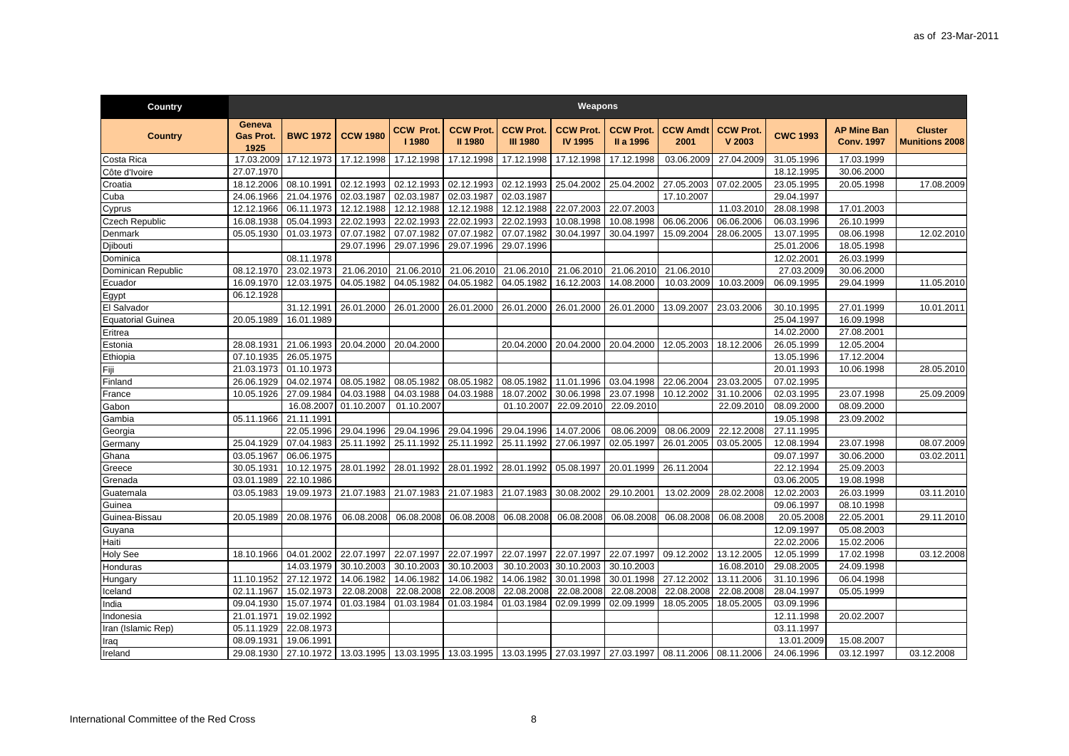| Country                  |                                    |                 |                                                                                                                    |                           |                                    |                                     | Weapons                           |                               |                         |                            |                 |                                         |                                         |
|--------------------------|------------------------------------|-----------------|--------------------------------------------------------------------------------------------------------------------|---------------------------|------------------------------------|-------------------------------------|-----------------------------------|-------------------------------|-------------------------|----------------------------|-----------------|-----------------------------------------|-----------------------------------------|
| <b>Country</b>           | Geneva<br><b>Gas Prot.</b><br>1925 | <b>BWC 1972</b> | <b>CCW 1980</b>                                                                                                    | <b>CCW Prot.</b><br>11980 | <b>CCW Prot.</b><br><b>II 1980</b> | <b>CCW Prot.</b><br><b>III 1980</b> | <b>CCW Prot</b><br><b>IV 1995</b> | <b>CCW Prot.</b><br>II a 1996 | <b>CCW Amdt</b><br>2001 | <b>CCW Prot.</b><br>V 2003 | <b>CWC 1993</b> | <b>AP Mine Ban</b><br><b>Conv. 1997</b> | <b>Cluster</b><br><b>Munitions 2008</b> |
| Costa Rica               | 17.03.2009                         | 17.12.1973      | 17.12.1998                                                                                                         | 17.12.1998                | 17.12.1998                         | 17.12.1998                          | 17.12.1998                        | 17.12.1998                    | 03.06.2009              | 27.04.2009                 | 31.05.1996      | 17.03.1999                              |                                         |
| Côte d'Ivoire            | 27.07.1970                         |                 |                                                                                                                    |                           |                                    |                                     |                                   |                               |                         |                            | 18.12.1995      | 30.06.2000                              |                                         |
| Croatia                  | 18.12.2006                         | 08.10.1991      | 02.12.1993                                                                                                         | 02.12.1993                | 02.12.1993                         | 02.12.1993                          | 25.04.2002                        | 25.04.2002                    | 27.05.2003              | 07.02.2005                 | 23.05.1995      | 20.05.1998                              | 17.08.2009                              |
| Cuba                     | 24.06.1966                         | 21.04.1976      | 02.03.1987                                                                                                         | 02.03.1987                | 02.03.1987                         | 02.03.1987                          |                                   |                               | 17.10.2007              |                            | 29.04.1997      |                                         |                                         |
| Cyprus                   | 12.12.1966                         | 06.11.1973      | 12.12.1988                                                                                                         | 12.12.1988                | 12.12.1988                         | 12.12.1988                          | 22.07.2003                        | 22.07.2003                    |                         | 11.03.2010                 | 28.08.1998      | 17.01.2003                              |                                         |
| Czech Republic           | 16.08.1938                         | 05.04.1993      | 22.02.1993                                                                                                         | 22.02.1993                | 22.02.1993                         | 22.02.1993                          | 10.08.1998                        | 10.08.1998                    | 06.06.2006              | 06.06.2006                 | 06.03.1996      | 26.10.1999                              |                                         |
| Denmark                  | 05.05.1930                         | 01.03.1973      | 07.07.1982                                                                                                         | 07.07.1982                | 07.07.1982                         | 07.07.1982                          | 30.04.1997                        | 30.04.1997                    | 15.09.2004              | 28.06.2005                 | 13.07.1995      | 08.06.1998                              | 12.02.2010                              |
| Djibouti                 |                                    |                 | 29.07.1996                                                                                                         | 29.07.1996                | 29.07.1996                         | 29.07.1996                          |                                   |                               |                         |                            | 25.01.2006      | 18.05.1998                              |                                         |
| Dominica                 |                                    | 08.11.1978      |                                                                                                                    |                           |                                    |                                     |                                   |                               |                         |                            | 12.02.2001      | 26.03.1999                              |                                         |
| Dominican Republic       | 08.12.1970                         | 23.02.1973      | 21.06.2010                                                                                                         | 21.06.2010                | 21.06.2010                         | 21.06.2010                          | 21.06.2010                        | 21.06.2010                    | 21.06.2010              |                            | 27.03.2009      | 30.06.2000                              |                                         |
| Ecuador                  | 16.09.1970                         | 12.03.1975      | 04.05.1982                                                                                                         | 04.05.1982                | 04.05.1982                         | 04.05.1982                          | 16.12.2003                        | 14.08.2000                    | 10.03.2009              | 10.03.2009                 | 06.09.1995      | 29.04.1999                              | 11.05.2010                              |
| Egypt                    | 06.12.1928                         |                 |                                                                                                                    |                           |                                    |                                     |                                   |                               |                         |                            |                 |                                         |                                         |
| El Salvador              |                                    | 31.12.1991      | 26.01.2000                                                                                                         | 26.01.2000                | 26.01.2000                         | 26.01.2000                          | 26.01.2000                        | 26.01.2000                    | 13.09.2007              | 23.03.2006                 | 30.10.1995      | 27.01.1999                              | 10.01.2011                              |
| <b>Equatorial Guinea</b> | 20.05.1989                         | 16.01.1989      |                                                                                                                    |                           |                                    |                                     |                                   |                               |                         |                            | 25.04.1997      | 16.09.1998                              |                                         |
| Eritrea                  |                                    |                 |                                                                                                                    |                           |                                    |                                     |                                   |                               |                         |                            | 14.02.2000      | 27.08.2001                              |                                         |
| Estonia                  | 28.08.1931                         | 21.06.1993      | 20.04.2000                                                                                                         | 20.04.2000                |                                    | 20.04.2000                          | 20.04.2000                        | 20.04.2000                    | 12.05.2003              | 18.12.2006                 | 26.05.1999      | 12.05.2004                              |                                         |
| Ethiopia                 | 07.10.1935                         | 26.05.1975      |                                                                                                                    |                           |                                    |                                     |                                   |                               |                         |                            | 13.05.1996      | 17.12.2004                              |                                         |
| Fiji                     | 21.03.1973                         | 01.10.1973      |                                                                                                                    |                           |                                    |                                     |                                   |                               |                         |                            | 20.01.1993      | 10.06.1998                              | 28.05.2010                              |
| Finland                  | 26.06.1929                         | 04.02.1974      | 08.05.1982                                                                                                         | 08.05.1982                | 08.05.1982                         | 08.05.1982                          | 11.01.1996                        | 03.04.1998                    | 22.06.2004              | 23.03.2005                 | 07.02.1995      |                                         |                                         |
| France                   | 10.05.1926                         | 27.09.1984      | 04.03.1988                                                                                                         | 04.03.1988                | 04.03.1988                         | 18.07.2002                          | 30.06.1998                        | 23.07.1998                    | 10.12.2002              | 31.10.2006                 | 02.03.1995      | 23.07.1998                              | 25.09.2009                              |
| Gabon                    |                                    | 16.08.2007      | 01.10.2007                                                                                                         | 01.10.2007                |                                    | 01.10.2007                          | 22.09.2010                        | 22.09.2010                    |                         | 22.09.2010                 | 08.09.2000      | 08.09.2000                              |                                         |
| Gambia                   | 05.11.1966                         | 21.11.1991      |                                                                                                                    |                           |                                    |                                     |                                   |                               |                         |                            | 19.05.1998      | 23.09.2002                              |                                         |
| Georgia                  |                                    | 22.05.1996      | 29.04.1996                                                                                                         | 29.04.1996                | 29.04.1996                         | 29.04.1996                          | 14.07.2006                        | 08.06.2009                    | 08.06.2009              | 22.12.2008                 | 27.11.1995      |                                         |                                         |
| Germany                  | 25.04.1929                         | 07.04.1983      | 25.11.1992                                                                                                         | 25.11.1992                | 25.11.1992                         | 25.11.1992                          | 27.06.1997                        | 02.05.1997                    | 26.01.2005              | 03.05.2005                 | 12.08.1994      | 23.07.1998                              | 08.07.2009                              |
| Ghana                    | 03.05.1967                         | 06.06.1975      |                                                                                                                    |                           |                                    |                                     |                                   |                               |                         |                            | 09.07.1997      | 30.06.2000                              | 03.02.2011                              |
| Greece                   | 30.05.1931                         | 10.12.1975      | 28.01.1992                                                                                                         | 28.01.1992                | 28.01.1992                         | 28.01.1992                          | 05.08.1997                        | 20.01.1999                    | 26.11.2004              |                            | 22.12.1994      | 25.09.2003                              |                                         |
| Grenada                  | 03.01.1989                         | 22.10.1986      |                                                                                                                    |                           |                                    |                                     |                                   |                               |                         |                            | 03.06.2005      | 19.08.1998                              |                                         |
| Guatemala                | 03.05.1983                         | 19.09.1973      | 21.07.1983                                                                                                         | 21.07.1983                | 21.07.1983                         | 21.07.1983                          | 30.08.2002                        | 29.10.2001                    | 13.02.2009              | 28.02.2008                 | 12.02.2003      | 26.03.1999                              | 03.11.2010                              |
| Guinea                   |                                    |                 |                                                                                                                    |                           |                                    |                                     |                                   |                               |                         |                            | 09.06.1997      | 08.10.1998                              |                                         |
| Guinea-Bissau            | 20.05.1989                         | 20.08.1976      | 06.08.2008                                                                                                         | 06.08.2008                | 06.08.2008                         | 06.08.2008                          | 06.08.2008                        | 06.08.2008                    | 06.08.2008              | 06.08.2008                 | 20.05.2008      | 22.05.2001                              | 29.11.2010                              |
| Guyana                   |                                    |                 |                                                                                                                    |                           |                                    |                                     |                                   |                               |                         |                            | 12.09.1997      | 05.08.2003                              |                                         |
| Haiti                    |                                    |                 |                                                                                                                    |                           |                                    |                                     |                                   |                               |                         |                            | 22.02.2006      | 15.02.2006                              |                                         |
| <b>Holy See</b>          | 18.10.1966                         | 04.01.2002      | 22.07.1997                                                                                                         | 22.07.1997                | 22.07.1997                         | 22.07.1997                          | 22.07.1997                        | 22.07.1997                    | 09.12.2002              | 13.12.2005                 | 12.05.1999      | 17.02.1998                              | 03.12.2008                              |
| Honduras                 |                                    | 14.03.1979      | 30.10.2003                                                                                                         | 30.10.2003                | 30.10.2003                         | 30.10.2003                          | 30.10.2003                        | 30.10.2003                    |                         | 16.08.2010                 | 29.08.2005      | 24.09.1998                              |                                         |
| Hungary                  | 11.10.1952                         | 27.12.1972      | 14.06.1982                                                                                                         | 14.06.1982                | 14.06.1982                         | 14.06.1982                          | 30.01.1998                        | 30.01.1998                    | 27.12.2002              | 13.11.2006                 | 31.10.1996      | 06.04.1998                              |                                         |
| Iceland                  | 02.11.1967                         | 15.02.1973      | 22.08.2008                                                                                                         | 22.08.2008                | 22.08.2008                         | 22.08.2008                          | 22.08.2008                        | 22.08.2008                    | 22.08.2008              | 22.08.2008                 | 28.04.1997      | 05.05.1999                              |                                         |
| India                    | 09.04.1930                         | 15.07.1974      | 01.03.1984                                                                                                         | 01.03.1984                | 01.03.1984                         | 01.03.1984                          | 02.09.1999                        | 02.09.1999                    | 18.05.2005              | 18.05.2005                 | 03.09.1996      |                                         |                                         |
| Indonesia                | 21.01.1971                         | 19.02.1992      |                                                                                                                    |                           |                                    |                                     |                                   |                               |                         |                            | 12.11.1998      | 20.02.2007                              |                                         |
| Iran (Islamic Rep)       | 05.11.1929                         | 22.08.1973      |                                                                                                                    |                           |                                    |                                     |                                   |                               |                         |                            | 03.11.1997      |                                         |                                         |
| Iraq                     | 08.09.1931                         | 19.06.1991      |                                                                                                                    |                           |                                    |                                     |                                   |                               |                         |                            | 13.01.2009      | 15.08.2007                              |                                         |
| Ireland                  | 29.08.1930                         |                 | 27.10.1972   13.03.1995   13.03.1995   13.03.1995   13.03.1995   27.03.1997   27.03.1997   08.11.2006   08.11.2006 |                           |                                    |                                     |                                   |                               |                         |                            | 24.06.1996      | 03.12.1997                              | 03.12.2008                              |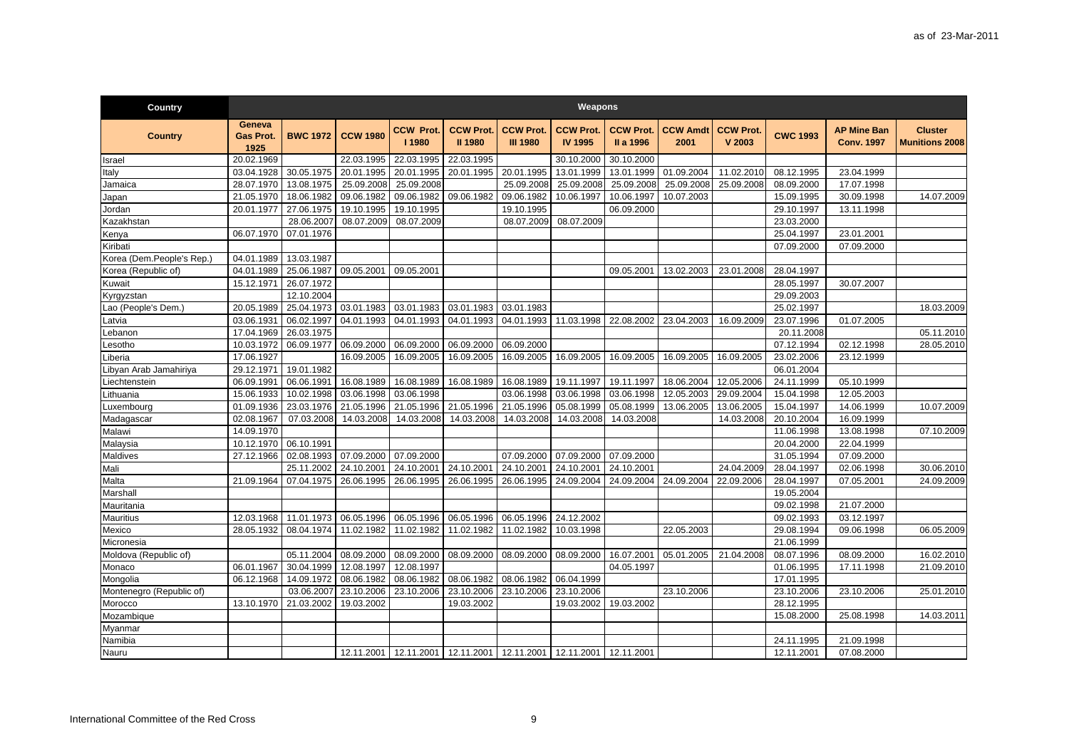| Country                   |                                    |                 |                 |                           |                                    |                                     | Weapons                                                                     |                               |                         |                            |                 |                                         |                                         |
|---------------------------|------------------------------------|-----------------|-----------------|---------------------------|------------------------------------|-------------------------------------|-----------------------------------------------------------------------------|-------------------------------|-------------------------|----------------------------|-----------------|-----------------------------------------|-----------------------------------------|
| <b>Country</b>            | Geneva<br><b>Gas Prot.</b><br>1925 | <b>BWC 1972</b> | <b>CCW 1980</b> | <b>CCW Prot.</b><br>11980 | <b>CCW Prot.</b><br><b>II 1980</b> | <b>CCW Prot.</b><br><b>III 1980</b> | <b>CCW Prot.</b><br><b>IV 1995</b>                                          | <b>CCW Prot.</b><br>II a 1996 | <b>CCW Amdt</b><br>2001 | <b>CCW Prot.</b><br>V 2003 | <b>CWC 1993</b> | <b>AP Mine Ban</b><br><b>Conv. 1997</b> | <b>Cluster</b><br><b>Munitions 2008</b> |
| Israel                    | 20.02.1969                         |                 | 22.03.1995      | 22.03.1995                | 22.03.1995                         |                                     | 30.10.2000                                                                  | 30.10.2000                    |                         |                            |                 |                                         |                                         |
| Italy                     | 03.04.1928                         | 30.05.1975      | 20.01.1995      | 20.01.1995                | 20.01.1995                         | 20.01.1995                          | 13.01.1999                                                                  | 13.01.1999                    | 01.09.2004              | 11.02.2010                 | 08.12.1995      | 23.04.1999                              |                                         |
| Jamaica                   | 28.07.1970                         | 13.08.1975      | 25.09.2008      | 25.09.2008                |                                    | 25.09.2008                          | 25.09.2008                                                                  | 25.09.2008                    | 25.09.2008              | 25.09.2008                 | 08.09.2000      | 17.07.1998                              |                                         |
| Japan                     | 21.05.1970                         | 18.06.1982      | 09.06.1982      | 09.06.1982                | 09.06.1982                         | 09.06.1982                          | 10.06.1997                                                                  | 10.06.1997                    | 10.07.2003              |                            | 15.09.1995      | 30.09.1998                              | 14.07.2009                              |
| Jordan                    | 20.01.1977                         | 27.06.1975      | 19.10.1995      | 19.10.1995                |                                    | 19.10.1995                          |                                                                             | 06.09.2000                    |                         |                            | 29.10.1997      | 13.11.1998                              |                                         |
| Kazakhstan                |                                    | 28.06.2007      | 08.07.2009      | 08.07.2009                |                                    | 08.07.2009                          | 08.07.2009                                                                  |                               |                         |                            | 23.03.2000      |                                         |                                         |
| Kenya                     | 06.07.1970                         | 07.01.1976      |                 |                           |                                    |                                     |                                                                             |                               |                         |                            | 25.04.1997      | 23.01.2001                              |                                         |
| Kiribati                  |                                    |                 |                 |                           |                                    |                                     |                                                                             |                               |                         |                            | 07.09.2000      | 07.09.2000                              |                                         |
| Korea (Dem.People's Rep.) | 04.01.1989                         | 13.03.1987      |                 |                           |                                    |                                     |                                                                             |                               |                         |                            |                 |                                         |                                         |
| Korea (Republic of)       | 04.01.1989                         | 25.06.1987      | 09.05.2001      | 09.05.2001                |                                    |                                     |                                                                             | 09.05.2001                    | 13.02.2003              | 23.01.2008                 | 28.04.1997      |                                         |                                         |
| Kuwait                    | 15.12.1971                         | 26.07.1972      |                 |                           |                                    |                                     |                                                                             |                               |                         |                            | 28.05.1997      | 30.07.2007                              |                                         |
| Kyrgyzstan                |                                    | 12.10.2004      |                 |                           |                                    |                                     |                                                                             |                               |                         |                            | 29.09.2003      |                                         |                                         |
| ao (People's Dem.)        | 20.05.1989                         | 25.04.1973      | 03.01.1983      | 03.01.1983                | 03.01.1983                         | 03.01.1983                          |                                                                             |                               |                         |                            | 25.02.1997      |                                         | 18.03.2009                              |
| _atvia                    | 03.06.1931                         | 06.02.1997      | 04.01.1993      | 04.01.1993                | 04.01.1993                         | 04.01.1993                          | 11.03.1998                                                                  | 22.08.2002                    | 23.04.2003              | 16.09.2009                 | 23.07.1996      | 01.07.2005                              |                                         |
| .ebanon                   | 17.04.1969                         | 26.03.1975      |                 |                           |                                    |                                     |                                                                             |                               |                         |                            | 20.11.2008      |                                         | 05.11.2010                              |
| .esotho                   | 10.03.1972                         | 06.09.1977      | 06.09.2000      | 06.09.2000                | 06.09.2000                         | 06.09.2000                          |                                                                             |                               |                         |                            | 07.12.1994      | 02.12.1998                              | 28.05.2010                              |
| iberia                    | 17.06.1927                         |                 | 16.09.2005      | 16.09.2005                | 16.09.2005                         | 16.09.2005                          | 16.09.2005                                                                  | 16.09.2005                    | 16.09.2005              | 16.09.2005                 | 23.02.2006      | 23.12.1999                              |                                         |
| Libyan Arab Jamahiriya    | 29.12.1971                         | 19.01.1982      |                 |                           |                                    |                                     |                                                                             |                               |                         |                            | 06.01.2004      |                                         |                                         |
| Liechtenstein             | 06.09.1991                         | 06.06.1991      | 16.08.1989      | 16.08.1989                | 16.08.1989                         | 16.08.1989                          | 19.11.1997                                                                  | 19.11.1997                    | 18.06.2004              | 12.05.2006                 | 24.11.1999      | 05.10.1999                              |                                         |
| _ithuania                 | 15.06.1933                         | 10.02.1998      | 03.06.1998      | 03.06.1998                |                                    | 03.06.1998                          | 03.06.1998                                                                  | 03.06.1998                    | 12.05.2003              | 29.09.2004                 | 15.04.1998      | 12.05.2003                              |                                         |
| Luxembourg                | 01.09.1936                         | 23.03.1976      | 21.05.1996      | 21.05.1996                | 21.05.1996                         | 21.05.1996                          | 05.08.1999                                                                  | 05.08.1999                    | 13.06.2005              | 13.06.2005                 | 15.04.1997      | 14.06.1999                              | 10.07.2009                              |
| Madagascar                | 02.08.1967                         | 07.03.2008      | 14.03.2008      | 14.03.2008                | 14.03.2008                         | 14.03.2008                          | 14.03.2008                                                                  | 14.03.2008                    |                         | 14.03.2008                 | 20.10.2004      | 16.09.1999                              |                                         |
| Malawi                    | 14.09.1970                         |                 |                 |                           |                                    |                                     |                                                                             |                               |                         |                            | 11.06.1998      | 13.08.1998                              | 07.10.2009                              |
| Malaysia                  | 10.12.1970                         | 06.10.1991      |                 |                           |                                    |                                     |                                                                             |                               |                         |                            | 20.04.2000      | 22.04.1999                              |                                         |
| Maldives                  | 27.12.1966                         | 02.08.1993      | 07.09.2000      | 07.09.2000                |                                    | 07.09.2000                          | 07.09.2000                                                                  | 07.09.2000                    |                         |                            | 31.05.1994      | 07.09.2000                              |                                         |
| Mali                      |                                    | 25.11.2002      | 24.10.2001      | 24.10.2001                | 24.10.2001                         | 24.10.2001                          | 24.10.2001                                                                  | 24.10.2001                    |                         | 24.04.2009                 | 28.04.1997      | 02.06.1998                              | 30.06.2010                              |
| Malta                     | 21.09.1964                         | 07.04.1975      | 26.06.1995      | 26.06.1995                | 26.06.1995                         | 26.06.1995                          | 24.09.2004                                                                  | 24.09.2004                    | 24.09.2004              | 22.09.2006                 | 28.04.1997      | 07.05.2001                              | 24.09.2009                              |
| Marshall                  |                                    |                 |                 |                           |                                    |                                     |                                                                             |                               |                         |                            | 19.05.2004      |                                         |                                         |
| Mauritania                |                                    |                 |                 |                           |                                    |                                     |                                                                             |                               |                         |                            | 09.02.1998      | 21.07.2000                              |                                         |
| <b>Mauritius</b>          | 12.03.1968                         | 11.01.1973      | 06.05.1996      | 06.05.1996                | 06.05.1996                         | 06.05.1996                          | 24.12.2002                                                                  |                               |                         |                            | 09.02.1993      | 03.12.1997                              |                                         |
| Mexico                    | 28.05.1932                         | 08.04.1974      | 11.02.1982      | 11.02.1982                | 11.02.1982                         | 11.02.1982                          | 10.03.1998                                                                  |                               | 22.05.2003              |                            | 29.08.1994      | 09.06.1998                              | 06.05.2009                              |
| Micronesia                |                                    |                 |                 |                           |                                    |                                     |                                                                             |                               |                         |                            | 21.06.1999      |                                         |                                         |
| Moldova (Republic of)     |                                    | 05.11.2004      | 08.09.2000      | 08.09.2000                | 08.09.2000                         | 08.09.2000                          | 08.09.2000                                                                  | 16.07.2001                    | 05.01.2005              | 21.04.2008                 | 08.07.1996      | 08.09.2000                              | 16.02.2010                              |
| Monaco                    | 06.01.1967                         | 30.04.1999      | 12.08.1997      | 12.08.1997                |                                    |                                     |                                                                             | 04.05.1997                    |                         |                            | 01.06.1995      | 17.11.1998                              | 21.09.2010                              |
| Mongolia                  | 06.12.1968                         | 14.09.1972      | 08.06.1982      | 08.06.1982                | 08.06.1982                         | 08.06.1982                          | 06.04.1999                                                                  |                               |                         |                            | 17.01.1995      |                                         |                                         |
| Montenegro (Republic of)  |                                    | 03.06.2007      | 23.10.2006      | 23.10.2006                | 23.10.2006                         | 23.10.2006                          | 23.10.2006                                                                  |                               | 23.10.2006              |                            | 23.10.2006      | 23.10.2006                              | 25.01.2010                              |
| Morocco                   | 13.10.1970                         | 21.03.2002      | 19.03.2002      |                           | 19.03.2002                         |                                     | 19.03.2002                                                                  | 19.03.2002                    |                         |                            | 28.12.1995      |                                         |                                         |
| Mozambique                |                                    |                 |                 |                           |                                    |                                     |                                                                             |                               |                         |                            | 15.08.2000      | 25.08.1998                              | 14.03.2011                              |
|                           |                                    |                 |                 |                           |                                    |                                     |                                                                             |                               |                         |                            |                 |                                         |                                         |
| Myanmar<br>Namibia        |                                    |                 |                 |                           |                                    |                                     |                                                                             |                               |                         |                            | 24.11.1995      | 21.09.1998                              |                                         |
|                           |                                    |                 |                 |                           |                                    |                                     |                                                                             |                               |                         |                            |                 |                                         |                                         |
| Nauru                     |                                    |                 |                 |                           |                                    |                                     | 12.11.2001   12.11.2001   12.11.2001   12.11.2001   12.11.2001   12.11.2001 |                               |                         |                            | 12.11.2001      | 07.08.2000                              |                                         |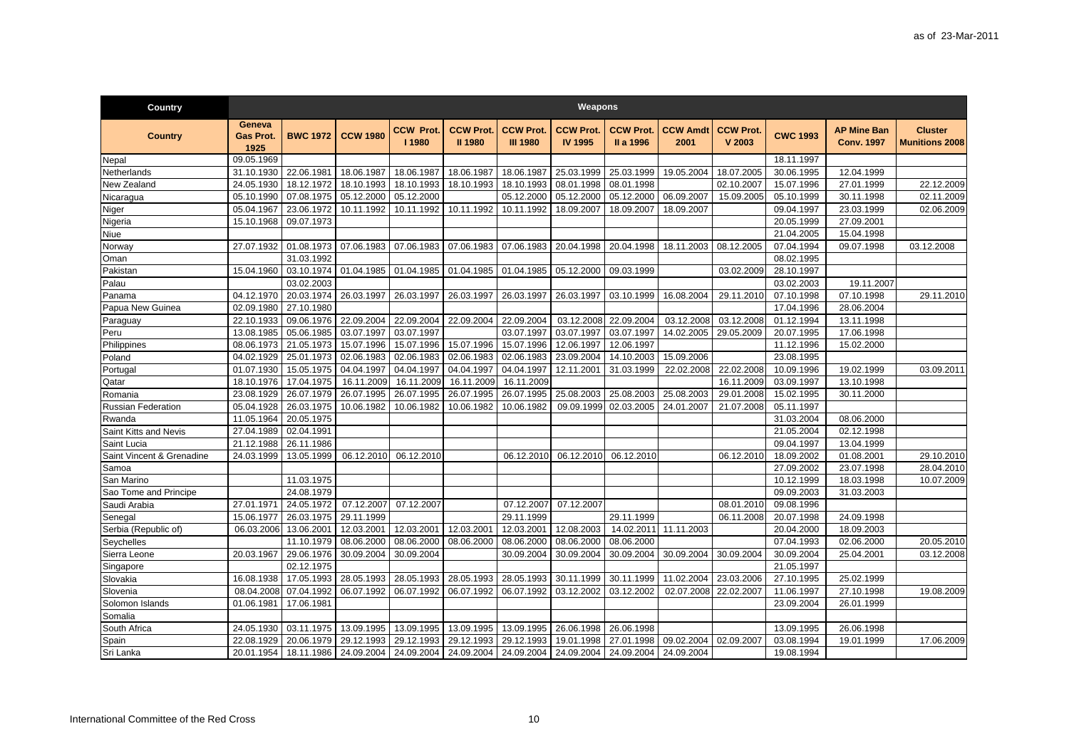| <b>Country</b>            |                                    |                 |                                                                                          |                          |                                    |                                     | Weapons                            |                               |                         |                            |                 |                                         |                                         |
|---------------------------|------------------------------------|-----------------|------------------------------------------------------------------------------------------|--------------------------|------------------------------------|-------------------------------------|------------------------------------|-------------------------------|-------------------------|----------------------------|-----------------|-----------------------------------------|-----------------------------------------|
| <b>Country</b>            | Geneva<br><b>Gas Prot.</b><br>1925 | <b>BWC 1972</b> | <b>CCW 1980</b>                                                                          | <b>CCW Prot</b><br>11980 | <b>CCW Prot.</b><br><b>II 1980</b> | <b>CCW Prot.</b><br><b>III 1980</b> | <b>CCW Prot.</b><br><b>IV 1995</b> | <b>CCW Prot.</b><br>II a 1996 | <b>CCW Amdt</b><br>2001 | <b>CCW Prot.</b><br>V 2003 | <b>CWC 1993</b> | <b>AP Mine Ban</b><br><b>Conv. 1997</b> | <b>Cluster</b><br><b>Munitions 2008</b> |
| Nepal                     | 09.05.1969                         |                 |                                                                                          |                          |                                    |                                     |                                    |                               |                         |                            | 18.11.1997      |                                         |                                         |
| Netherlands               | 31.10.1930                         | 22.06.1981      | 18.06.1987                                                                               | 18.06.1987               | 18.06.1987                         | 18.06.1987                          | 25.03.1999                         | 25.03.1999                    | 19.05.2004              | 18.07.2005                 | 30.06.1995      | 12.04.1999                              |                                         |
| New Zealand               | 24.05.1930                         | 18.12.1972      | 18.10.1993                                                                               | 18.10.1993               | 18.10.1993                         | 18.10.1993                          | 08.01.1998                         | 08.01.1998                    |                         | 02.10.2007                 | 15.07.1996      | 27.01.1999                              | 22.12.2009                              |
| Nicaragua                 | 05.10.1990                         | 07.08.1975      | 05.12.2000                                                                               | 05.12.2000               |                                    | 05.12.2000                          | 05.12.2000                         | 05.12.2000                    | 06.09.2007              | 15.09.2005                 | 05.10.1999      | 30.11.1998                              | 02.11.2009                              |
| Niger                     | 05.04.1967                         | 23.06.1972      | 10.11.1992                                                                               | 10.11.1992               | 10.11.1992                         | 10.11.1992                          | 18.09.2007                         | 18.09.2007                    | 18.09.2007              |                            | 09.04.1997      | 23.03.1999                              | 02.06.2009                              |
| Nigeria                   | 15.10.1968                         | 09.07.1973      |                                                                                          |                          |                                    |                                     |                                    |                               |                         |                            | 20.05.1999      | 27.09.2001                              |                                         |
| Niue                      |                                    |                 |                                                                                          |                          |                                    |                                     |                                    |                               |                         |                            | 21.04.2005      | 15.04.1998                              |                                         |
| Norway                    | 27.07.1932                         | 01.08.1973      | 07.06.1983                                                                               | 07.06.1983               | 07.06.1983                         | 07.06.1983                          | 20.04.1998                         | 20.04.1998                    | 18.11.2003              | 08.12.2005                 | 07.04.1994      | 09.07.1998                              | 03.12.2008                              |
| Oman                      |                                    | 31.03.1992      |                                                                                          |                          |                                    |                                     |                                    |                               |                         |                            | 08.02.1995      |                                         |                                         |
| Pakistan                  | 15.04.1960                         | 03.10.1974      | 01.04.1985                                                                               | 01.04.1985               | 01.04.1985                         | 01.04.1985                          | 05.12.2000                         | 09.03.1999                    |                         | 03.02.2009                 | 28.10.1997      |                                         |                                         |
| Palau                     |                                    | 03.02.2003      |                                                                                          |                          |                                    |                                     |                                    |                               |                         |                            | 03.02.2003      | 19.11.2007                              |                                         |
| Panama                    | 04.12.1970                         | 20.03.1974      | 26.03.1997                                                                               | 26.03.1997               | 26.03.1997                         | 26.03.1997                          | 26.03.1997                         | 03.10.1999                    | 16.08.2004              | 29.11.2010                 | 07.10.1998      | 07.10.1998                              | 29.11.2010                              |
| Papua New Guinea          | 02.09.1980                         | 27.10.1980      |                                                                                          |                          |                                    |                                     |                                    |                               |                         |                            | 17.04.1996      | 28.06.2004                              |                                         |
| Paraguay                  | 22.10.1933                         | 09.06.1976      | 22.09.2004                                                                               | 22.09.2004               | 22.09.2004                         | 22.09.2004                          | 03.12.2008                         | 22.09.2004                    | 03.12.2008              | 03.12.2008                 | 01.12.1994      | 13.11.1998                              |                                         |
| Peru                      | 13.08.1985                         | 05.06.1985      | 03.07.1997                                                                               | 03.07.1997               |                                    | 03.07.1997                          | 03.07.1997                         | 03.07.1997                    | 14.02.2005              | 29.05.2009                 | 20.07.1995      | 17.06.1998                              |                                         |
| Philippines               | 08.06.1973                         | 21.05.1973      | 15.07.1996                                                                               | 15.07.1996               | 15.07.1996                         | 15.07.1996                          | 12.06.1997                         | 12.06.1997                    |                         |                            | 11.12.1996      | 15.02.2000                              |                                         |
| Poland                    | 04.02.1929                         | 25.01.1973      | 02.06.1983                                                                               | 02.06.1983               | 02.06.1983                         | 02.06.1983                          | 23.09.2004                         | 14.10.2003                    | 15.09.2006              |                            | 23.08.1995      |                                         |                                         |
| Portugal                  | 01.07.1930                         | 15.05.1975      | 04.04.1997                                                                               | 04.04.1997               | 04.04.1997                         | 04.04.1997                          | 12.11.2001                         | 31.03.1999                    | 22.02.2008              | 22.02.2008                 | 10.09.1996      | 19.02.1999                              | 03.09.2011                              |
| Qatar                     | 18.10.1976                         | 17.04.1975      | 16.11.2009                                                                               | 16.11.2009               | 16.11.2009                         | 16.11.2009                          |                                    |                               |                         | 16.11.2009                 | 03.09.1997      | 13.10.1998                              |                                         |
| Romania                   | 23.08.1929                         | 26.07.1979      | 26.07.1995                                                                               | 26.07.1995               | 26.07.1995                         | 26.07.1995                          | 25.08.2003                         | 25.08.2003                    | 25.08.2003              | 29.01.2008                 | 15.02.1995      | 30.11.2000                              |                                         |
| <b>Russian Federation</b> | 05.04.1928                         | 26.03.1975      | 10.06.1982                                                                               | 10.06.1982               | 10.06.1982                         | 10.06.1982                          | 09.09.1999                         | 02.03.2005                    | 24.01.2007              | 21.07.2008                 | 05.11.1997      |                                         |                                         |
| Rwanda                    | 11.05.1964                         | 20.05.1975      |                                                                                          |                          |                                    |                                     |                                    |                               |                         |                            | 31.03.2004      | 08.06.2000                              |                                         |
| Saint Kitts and Nevis     | 27.04.1989                         | 02.04.1991      |                                                                                          |                          |                                    |                                     |                                    |                               |                         |                            | 21.05.2004      | 02.12.1998                              |                                         |
| Saint Lucia               | 21.12.1988                         | 26.11.1986      |                                                                                          |                          |                                    |                                     |                                    |                               |                         |                            | 09.04.1997      | 13.04.1999                              |                                         |
| Saint Vincent & Grenadine | 24.03.1999                         | 13.05.1999      | 06.12.2010                                                                               | 06.12.2010               |                                    | 06.12.2010                          | 06.12.2010                         | 06.12.2010                    |                         | 06.12.2010                 | 18.09.2002      | 01.08.2001                              | 29.10.2010                              |
| Samoa                     |                                    |                 |                                                                                          |                          |                                    |                                     |                                    |                               |                         |                            | 27.09.2002      | 23.07.1998                              | 28.04.2010                              |
| San Marino                |                                    | 11.03.1975      |                                                                                          |                          |                                    |                                     |                                    |                               |                         |                            | 10.12.1999      | 18.03.1998                              | 10.07.2009                              |
| Sao Tome and Principe     |                                    | 24.08.1979      |                                                                                          |                          |                                    |                                     |                                    |                               |                         |                            | 09.09.2003      | 31.03.2003                              |                                         |
| Saudi Arabia              | 27.01.1971                         | 24.05.1972      | 07.12.2007                                                                               | 07.12.2007               |                                    | 07.12.2007                          | 07.12.2007                         |                               |                         | 08.01.2010                 | 09.08.1996      |                                         |                                         |
| Senegal                   | 15.06.1977                         | 26.03.1975      | 29.11.1999                                                                               |                          |                                    | 29.11.1999                          |                                    | 29.11.1999                    |                         | 06.11.2008                 | 20.07.1998      | 24.09.1998                              |                                         |
| Serbia (Republic of)      | 06.03.2006                         | 13.06.2001      | 12.03.2001                                                                               | 12.03.2001               | 12.03.2001                         | 12.03.2001                          | 12.08.2003                         | 14.02.2011                    | 11.11.2003              |                            | 20.04.2000      | 18.09.2003                              |                                         |
| Seychelles                |                                    | 11.10.1979      | 08.06.2000                                                                               | 08.06.2000               | 08.06.2000                         | 08.06.2000                          | 08.06.2000                         | 08.06.2000                    |                         |                            | 07.04.1993      | 02.06.2000                              | 20.05.2010                              |
| Sierra Leone              | 20.03.1967                         | 29.06.1976      | 30.09.2004                                                                               | 30.09.2004               |                                    | 30.09.2004                          | 30.09.2004                         | 30.09.2004                    | 30.09.2004              | 30.09.2004                 | 30.09.2004      | 25.04.2001                              | 03.12.2008                              |
| Singapore                 |                                    | 02.12.1975      |                                                                                          |                          |                                    |                                     |                                    |                               |                         |                            | 21.05.1997      |                                         |                                         |
| Slovakia                  | 16.08.1938                         | 17.05.1993      | 28.05.1993                                                                               | 28.05.1993               | 28.05.1993                         | 28.05.1993                          | 30.11.1999                         | 30.11.1999                    | 11.02.2004              | 23.03.2006                 | 27.10.1995      | 25.02.1999                              |                                         |
| Slovenia                  | 08.04.2008                         | 07.04.1992      | 06.07.1992                                                                               | 06.07.1992               | 06.07.1992                         | 06.07.1992                          | 03.12.2002                         | 03.12.2002                    | 02.07.2008              | 22.02.2007                 | 11.06.1997      | 27.10.1998                              | 19.08.2009                              |
| Solomon Islands           | 01.06.1981                         | 17.06.1981      |                                                                                          |                          |                                    |                                     |                                    |                               |                         |                            | 23.09.2004      | 26.01.1999                              |                                         |
| Somalia                   |                                    |                 |                                                                                          |                          |                                    |                                     |                                    |                               |                         |                            |                 |                                         |                                         |
| South Africa              | 24.05.1930                         | 03.11.1975      | 13.09.1995                                                                               | 13.09.1995               | 13.09.1995                         | 13.09.1995                          | 26.06.1998                         | 26.06.1998                    |                         |                            | 13.09.1995      | 26.06.1998                              |                                         |
| Spain                     | 22.08.1929                         | 20.06.1979      | 29.12.1993                                                                               | 29.12.1993               | 29.12.1993                         | 29.12.1993                          | 19.01.1998                         | 27.01.1998                    | 09.02.2004              | 02.09.2007                 | 03.08.1994      | 19.01.1999                              | 17.06.2009                              |
| Sri Lanka                 | 20.01.1954                         |                 | 18.11.1986   24.09.2004   24.09.2004   24.09.2004   24.09.2004   24.09.2004   24.09.2004 |                          |                                    |                                     |                                    |                               | 24.09.2004              |                            | 19.08.1994      |                                         |                                         |